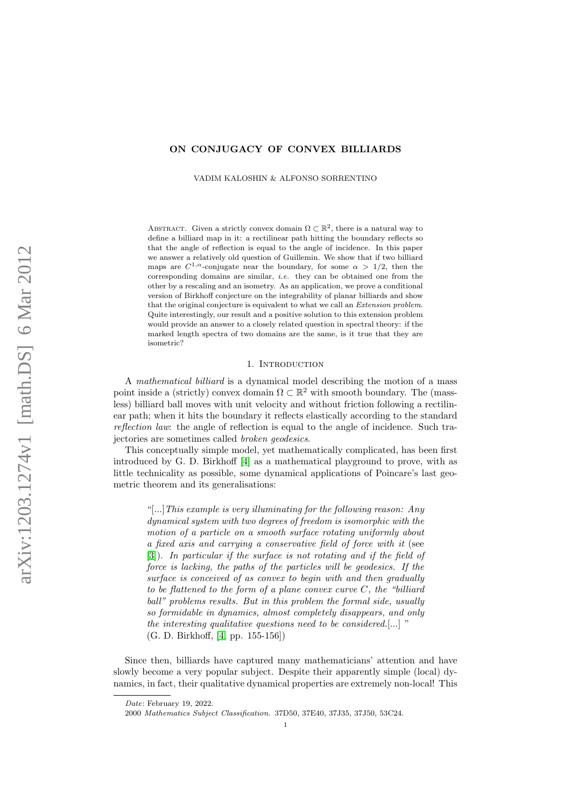# ON CONJUGACY OF CONVEX BILLIARDS

VADIM KALOSHIN & ALFONSO SORRENTINO

ABSTRACT. Given a strictly convex domain  $\Omega \subset \mathbb{R}^2$ , there is a natural way to define a billiard map in it: a rectilinear path hitting the boundary reflects so that the angle of reflection is equal to the angle of incidence. In this paper we answer a relatively old question of Guillemin. We show that if two billiard maps are  $C^{1,\alpha}$ -conjugate near the boundary, for some  $\alpha > 1/2$ , then the corresponding domains are similar, i.e. they can be obtained one from the other by a rescaling and an isometry. As an application, we prove a conditional version of Birkhoff conjecture on the integrability of planar billiards and show that the original conjecture is equivalent to what we call an Extension problem. Quite interestingly, our result and a positive solution to this extension problem would provide an answer to a closely related question in spectral theory: if the marked length spectra of two domains are the same, is it true that they are isometric?

## 1. INTRODUCTION

A mathematical billiard is a dynamical model describing the motion of a mass point inside a (strictly) convex domain  $\Omega \subset \mathbb{R}^2$  with smooth boundary. The (massless) billiard ball moves with unit velocity and without friction following a rectilinear path; when it hits the boundary it reflects elastically according to the standard reflection law: the angle of reflection is equal to the angle of incidence. Such trajectories are sometimes called broken geodesics.

This conceptually simple model, yet mathematically complicated, has been first introduced by G. D. Birkhoff [\[4\]](#page-22-0) as a mathematical playground to prove, with as little technicality as possible, some dynamical applications of Poincare's last geometric theorem and its generalisations:

"[...]This example is very illuminating for the following reason: Any dynamical system with two degrees of freedom is isomorphic with the motion of a particle on a smooth surface rotating uniformly about a fixed axis and carrying a conservative field of force with it (see [\[3\]](#page-22-1)). In particular if the surface is not rotating and if the field of force is lacking, the paths of the particles will be geodesics. If the surface is conceived of as convex to begin with and then gradually to be flattened to the form of a plane convex curve  $C$ , the "billiard" ball" problems results. But in this problem the formal side, usually so formidable in dynamics, almost completely disappears, and only the interesting qualitative questions need to be considered.[...] " (G. D. Birkhoff, [\[4,](#page-22-0) pp. 155-156])

Since then, billiards have captured many mathematicians' attention and have slowly become a very popular subject. Despite their apparently simple (local) dynamics, in fact, their qualitative dynamical properties are extremely non-local! This

Date: February 19, 2022.

<sup>2000</sup> Mathematics Subject Classification. 37D50, 37E40, 37J35, 37J50, 53C24.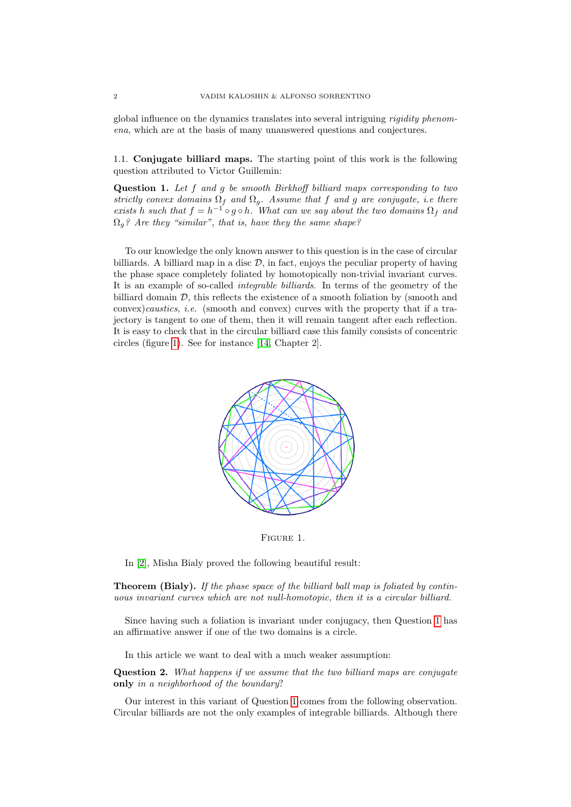global influence on the dynamics translates into several intriguing rigidity phenomena, which are at the basis of many unanswered questions and conjectures.

1.1. Conjugate billiard maps. The starting point of this work is the following question attributed to Victor Guillemin:

<span id="page-1-1"></span>Question 1. Let f and g be smooth Birkhoff billiard maps corresponding to two strictly convex domains  $\Omega_f$  and  $\Omega_g$ . Assume that f and g are conjugate, i.e there exists h such that  $f = h^{-1} \circ g \circ h$ . What can we say about the two domains  $\Omega_f$  and  $\Omega_q$ ? Are they "similar", that is, have they the same shape?

To our knowledge the only known answer to this question is in the case of circular billiards. A billiard map in a disc  $\mathcal{D}$ , in fact, enjoys the peculiar property of having the phase space completely foliated by homotopically non-trivial invariant curves. It is an example of so-called integrable billiards. In terms of the geometry of the billiard domain  $D$ , this reflects the existence of a smooth foliation by (smooth and  $convex) caustics, i.e.$  (smooth and convex) curves with the property that if a trajectory is tangent to one of them, then it will remain tangent after each reflection. It is easy to check that in the circular billiard case this family consists of concentric circles (figure [1\)](#page-1-0). See for instance [\[14,](#page-22-2) Chapter 2].



<span id="page-1-0"></span>Figure 1.

In [\[2\]](#page-22-3), Misha Bialy proved the following beautiful result:

**Theorem (Bialy).** If the phase space of the billiard ball map is foliated by continuous invariant curves which are not null-homotopic, then it is a circular billiard.

Since having such a foliation is invariant under conjugacy, then Question [1](#page-1-1) has an affirmative answer if one of the two domains is a circle.

In this article we want to deal with a much weaker assumption:

<span id="page-1-2"></span>Question 2. What happens if we assume that the two billiard maps are conjugate only in a neighborhood of the boundary?

Our interest in this variant of Question [1](#page-1-1) comes from the following observation. Circular billiards are not the only examples of integrable billiards. Although there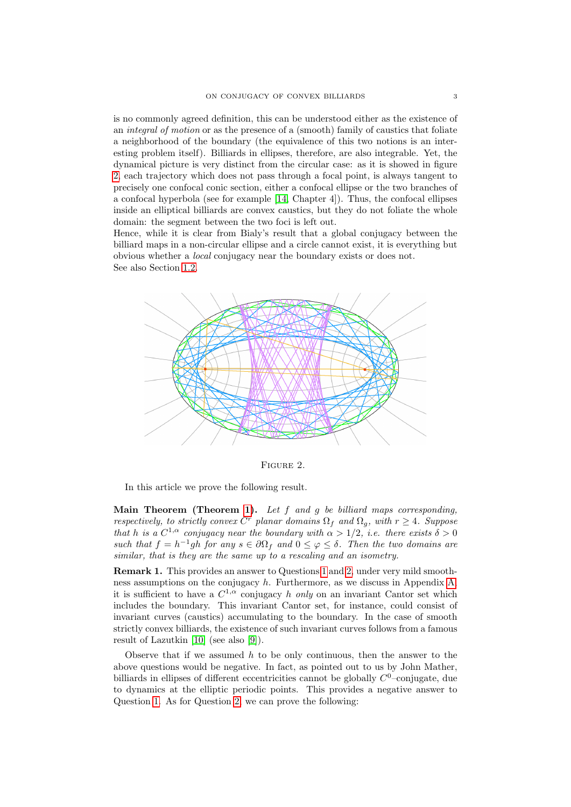is no commonly agreed definition, this can be understood either as the existence of an integral of motion or as the presence of a (smooth) family of caustics that foliate a neighborhood of the boundary (the equivalence of this two notions is an interesting problem itself). Billiards in ellipses, therefore, are also integrable. Yet, the dynamical picture is very distinct from the circular case: as it is showed in figure [2,](#page-2-0) each trajectory which does not pass through a focal point, is always tangent to precisely one confocal conic section, either a confocal ellipse or the two branches of a confocal hyperbola (see for example [\[14,](#page-22-2) Chapter 4]). Thus, the confocal ellipses inside an elliptical billiards are convex caustics, but they do not foliate the whole domain: the segment between the two foci is left out.

Hence, while it is clear from Bialy's result that a global conjugacy between the billiard maps in a non-circular ellipse and a circle cannot exist, it is everything but obvious whether a local conjugacy near the boundary exists or does not. See also Section [1.2.](#page-3-0)



<span id="page-2-0"></span>Figure 2.

In this article we prove the following result.

Main Theorem (Theorem [1\)](#page-8-0). Let  $f$  and  $g$  be billiard maps corresponding, respectively, to strictly convex  $C^r$  planar domains  $\Omega_f$  and  $\Omega_g$ , with  $r \geq 4$ . Suppose that h is a  $C^{1,\alpha}$  conjugacy near the boundary with  $\alpha > 1/2$ , i.e. there exists  $\delta > 0$ such that  $f = h^{-1}gh$  for any  $s \in \partial \Omega_f$  and  $0 \leq \varphi \leq \delta$ . Then the two domains are similar, that is they are the same up to a rescaling and an isometry.

<span id="page-2-1"></span>Remark 1. This provides an answer to Questions [1](#page-1-1) and [2,](#page-1-2) under very mild smoothness assumptions on the conjugacy  $h$ . Furthermore, as we discuss in Appendix A. it is sufficient to have a  $C^{1,\alpha}$  conjugacy h only on an invariant Cantor set which includes the boundary. This invariant Cantor set, for instance, could consist of invariant curves (caustics) accumulating to the boundary. In the case of smooth strictly convex billiards, the existence of such invariant curves follows from a famous result of Lazutkin [\[10\]](#page-22-4) (see also [\[9\]](#page-22-5)).

Observe that if we assumed  $h$  to be only continuous, then the answer to the above questions would be negative. In fact, as pointed out to us by John Mather, billiards in ellipses of different eccentricities cannot be globally  $C^0$ -conjugate, due to dynamics at the elliptic periodic points. This provides a negative answer to Question [1.](#page-1-1) As for Question [2,](#page-1-2) we can prove the following: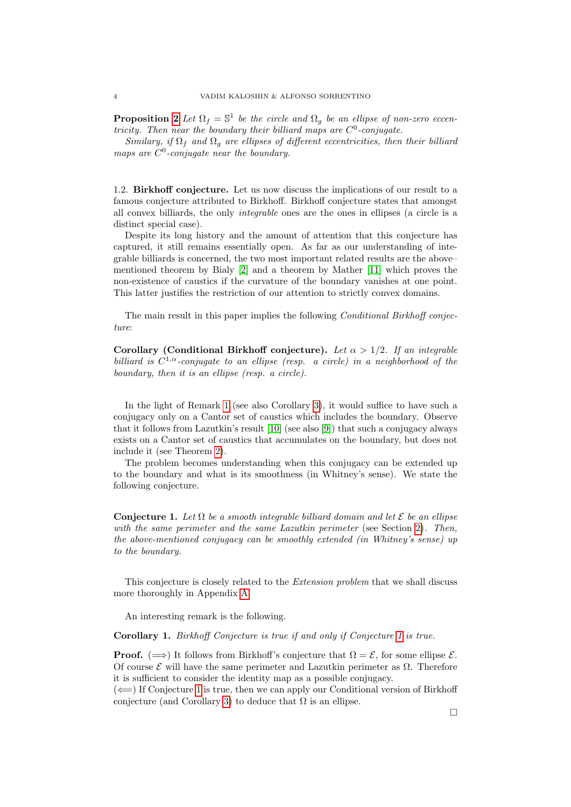**Proposition [2](#page-14-0)** Let  $\Omega_f = \mathbb{S}^1$  be the circle and  $\Omega_g$  be an ellipse of non-zero eccentricity. Then near the boundary their billiard maps are  $C^0$ -conjugate.

Similary, if  $\Omega_f$  and  $\Omega_g$  are ellipses of different eccentricities, then their billiard maps are  $C^0$ -conjugate near the boundary.

<span id="page-3-0"></span>1.2. Birkhoff conjecture. Let us now discuss the implications of our result to a famous conjecture attributed to Birkhoff. Birkhoff conjecture states that amongst all convex billiards, the only integrable ones are the ones in ellipses (a circle is a distinct special case).

Despite its long history and the amount of attention that this conjecture has captured, it still remains essentially open. As far as our understanding of integrable billiards is concerned, the two most important related results are the above– mentioned theorem by Bialy [\[2\]](#page-22-3) and a theorem by Mather [\[11\]](#page-22-6) which proves the non-existence of caustics if the curvature of the boundary vanishes at one point. This latter justifies the restriction of our attention to strictly convex domains.

The main result in this paper implies the following Conditional Birkhoff conjecture:

Corollary (Conditional Birkhoff conjecture). Let  $\alpha > 1/2$ . If an integrable billiard is  $C^{1,\alpha}$ -conjugate to an ellipse (resp. a circle) in a neighborhood of the boundary, then it is an ellipse (resp. a circle).

In the light of Remark [1](#page-2-1) (see also Corollary [3\)](#page-15-1), it would suffice to have such a conjugacy only on a Cantor set of caustics which includes the boundary. Observe that it follows from Lazutkin's result [\[10\]](#page-22-4) (see also [\[9\]](#page-22-5)) that such a conjugacy always exists on a Cantor set of caustics that accumulates on the boundary, but does not include it (see Theorem [2\)](#page-15-2).

The problem becomes understanding when this conjugacy can be extended up to the boundary and what is its smoothness (in Whitney's sense). We state the following conjecture.

<span id="page-3-1"></span>Conjecture 1. Let  $\Omega$  be a smooth integrable billiard domain and let  $\mathcal E$  be an ellipse with the same perimeter and the same Lazutkin perimeter (see Section [2\)](#page-5-0). Then, the above-mentioned conjugacy can be smoothly extended (in Whitney's sense) up to the boundary.

This conjecture is closely related to the Extension problem that we shall discuss more thoroughly in Appendix [A.](#page-15-0)

An interesting remark is the following.

Corollary 1. Birkhoff Conjecture is true if and only if Conjecture [1](#page-3-1) is true.

**Proof.** ( $\implies$ ) It follows from Birkhoff's conjecture that  $\Omega = \mathcal{E}$ , for some ellipse  $\mathcal{E}$ . Of course E will have the same perimeter and Lazutkin perimeter as Ω. Therefore it is sufficient to consider the identity map as a possible conjugacy.

 $(\Leftarrow)$  If Conjecture [1](#page-3-1) is true, then we can apply our Conditional version of Birkhoff conjecture (and Corollary [3\)](#page-15-1) to deduce that  $\Omega$  is an ellipse.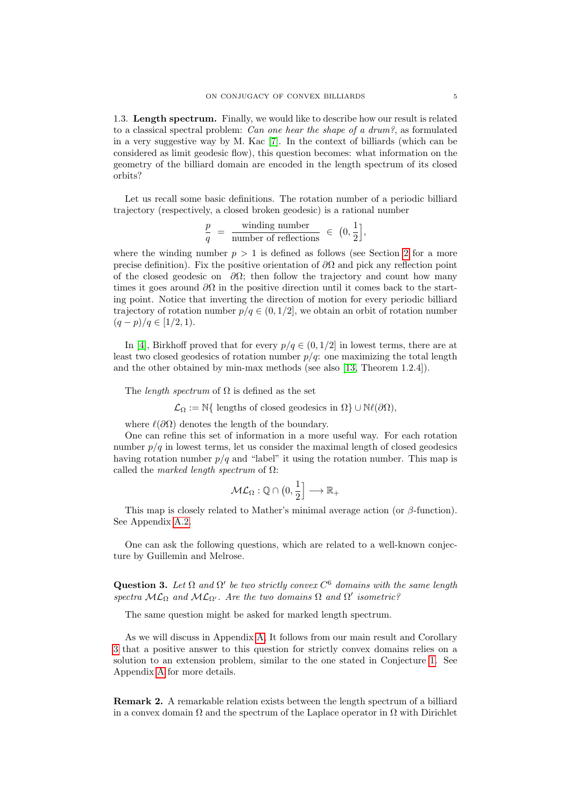<span id="page-4-0"></span>1.3. Length spectrum. Finally, we would like to describe how our result is related to a classical spectral problem: Can one hear the shape of a drum?, as formulated in a very suggestive way by M. Kac [\[7\]](#page-22-7). In the context of billiards (which can be considered as limit geodesic flow), this question becomes: what information on the geometry of the billiard domain are encoded in the length spectrum of its closed orbits?

Let us recall some basic definitions. The rotation number of a periodic billiard trajectory (respectively, a closed broken geodesic) is a rational number

$$
\frac{p}{q} = \frac{\text{winding number}}{\text{number of reflections}} \in (0, \frac{1}{2}],
$$

where the winding number  $p > 1$  is defined as follows (see Section [2](#page-5-0) for a more precise definition). Fix the positive orientation of  $\partial\Omega$  and pick any reflection point of the closed geodesic on  $\partial\Omega$ ; then follow the trajectory and count how many times it goes around  $\partial\Omega$  in the positive direction until it comes back to the starting point. Notice that inverting the direction of motion for every periodic billiard trajectory of rotation number  $p/q \in (0, 1/2]$ , we obtain an orbit of rotation number  $(q-p)/q \in [1/2, 1).$ 

In [\[4\]](#page-22-0), Birkhoff proved that for every  $p/q \in (0, 1/2]$  in lowest terms, there are at least two closed geodesics of rotation number  $p/q$ : one maximizing the total length and the other obtained by min-max methods (see also [\[13,](#page-22-8) Theorem 1.2.4]).

The *length spectrum* of  $\Omega$  is defined as the set

 $\mathcal{L}_{\Omega} := \mathbb{N} \{ \text{ lengths of closed geodesics in } \Omega \} \cup \mathbb{N} \ell(\partial \Omega),$ 

where  $\ell(\partial\Omega)$  denotes the length of the boundary.

One can refine this set of information in a more useful way. For each rotation number  $p/q$  in lowest terms, let us consider the maximal length of closed geodesics having rotation number  $p/q$  and "label" it using the rotation number. This map is called the marked length spectrum of  $\Omega$ :

$$
\mathcal{ML}_{\Omega}: \mathbb{Q} \cap \left(0, \frac{1}{2}\right] \longrightarrow \mathbb{R}_{+}
$$

This map is closely related to Mather's minimal average action (or  $\beta$ -function). See Appendix [A.2.](#page-16-0)

One can ask the following questions, which are related to a well-known conjecture by Guillemin and Melrose.

<span id="page-4-1"></span>Question 3. Let  $\Omega$  and  $\Omega'$  be two strictly convex  $C^6$  domains with the same length spectra  $ML_{\Omega}$  and  $ML_{\Omega'}$ . Are the two domains  $\Omega$  and  $\Omega'$  isometric?

The same question might be asked for marked length spectrum.

As we will discuss in Appendix [A,](#page-15-0) It follows from our main result and Corollary [3](#page-15-1) that a positive answer to this question for strictly convex domains relies on a solution to an extension problem, similar to the one stated in Conjecture [1.](#page-3-1) See Appendix [A](#page-15-0) for more details.

Remark 2. A remarkable relation exists between the length spectrum of a billiard in a convex domain  $\Omega$  and the spectrum of the Laplace operator in  $\Omega$  with Dirichlet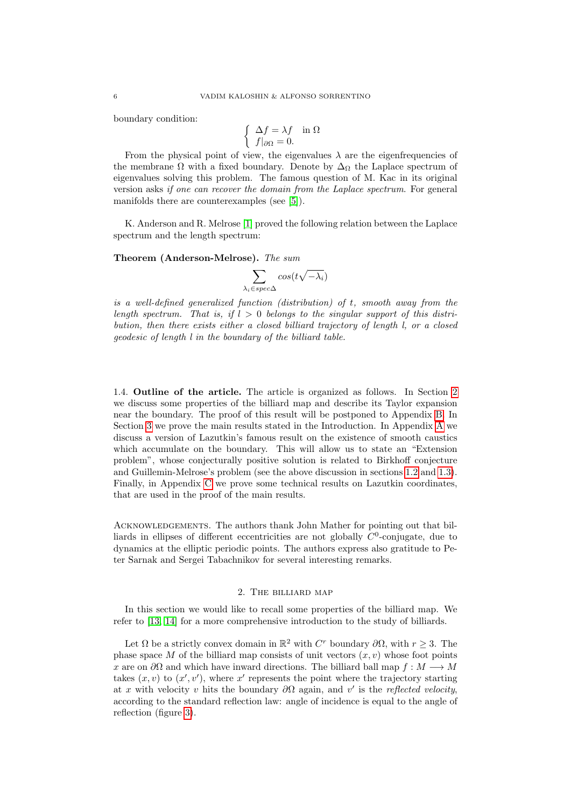boundary condition:

$$
\begin{cases} \Delta f = \lambda f & \text{in } \Omega \\ f|_{\partial \Omega} = 0. \end{cases}
$$

From the physical point of view, the eigenvalues  $\lambda$  are the eigenfrequencies of the membrane  $\Omega$  with a fixed boundary. Denote by  $\Delta_{\Omega}$  the Laplace spectrum of eigenvalues solving this problem. The famous question of M. Kac in its original version asks if one can recover the domain from the Laplace spectrum. For general manifolds there are counterexamples (see [\[5\]](#page-22-9)).

K. Anderson and R. Melrose [\[1\]](#page-22-10) proved the following relation between the Laplace spectrum and the length spectrum:

### Theorem (Anderson-Melrose). The sum

$$
\sum_{\lambda_i\in spec \Delta } cos(t\sqrt{-\lambda_i})
$$

is a well-defined generalized function (distribution) of t, smooth away from the length spectrum. That is, if  $l > 0$  belongs to the singular support of this distribution, then there exists either a closed billiard trajectory of length l, or a closed geodesic of length l in the boundary of the billiard table.

1.4. Outline of the article. The article is organized as follows. In Section [2](#page-5-0) we discuss some properties of the billiard map and describe its Taylor expansion near the boundary. The proof of this result will be postponed to Appendix [B.](#page-17-0) In Section [3](#page-8-1) we prove the main results stated in the Introduction. In Appendix [A](#page-15-0) we discuss a version of Lazutkin's famous result on the existence of smooth caustics which accumulate on the boundary. This will allow us to state an "Extension problem", whose conjecturally positive solution is related to Birkhoff conjecture and Guillemin-Melrose's problem (see the above discussion in sections [1.2](#page-3-0) and [1.3\)](#page-4-0). Finally, in Appendix [C](#page-20-0) we prove some technical results on Lazutkin coordinates, that are used in the proof of the main results.

Acknowledgements. The authors thank John Mather for pointing out that billiards in ellipses of different eccentricities are not globally  $C^0$ -conjugate, due to dynamics at the elliptic periodic points. The authors express also gratitude to Peter Sarnak and Sergei Tabachnikov for several interesting remarks.

# 2. The billiard map

<span id="page-5-0"></span>In this section we would like to recall some properties of the billiard map. We refer to [\[13,](#page-22-8) [14\]](#page-22-2) for a more comprehensive introduction to the study of billiards.

Let  $\Omega$  be a strictly convex domain in  $\mathbb{R}^2$  with  $C^r$  boundary  $\partial\Omega$ , with  $r \geq 3$ . The phase space M of the billiard map consists of unit vectors  $(x, v)$  whose foot points x are on  $\partial\Omega$  and which have inward directions. The billiard ball map  $f : M \longrightarrow M$ takes  $(x, v)$  to  $(x', v')$ , where x' represents the point where the trajectory starting at x with velocity v hits the boundary  $\partial\Omega$  again, and v' is the reflected velocity, according to the standard reflection law: angle of incidence is equal to the angle of reflection (figure [3\)](#page-6-0).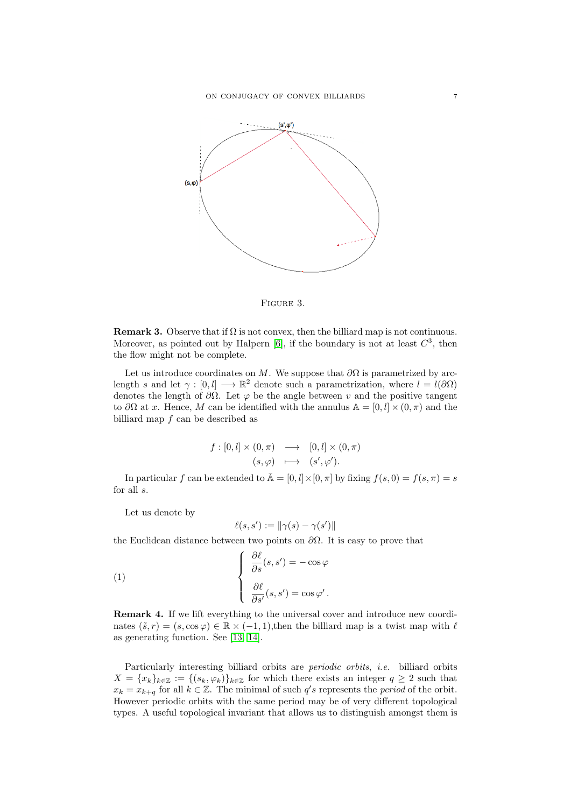

<span id="page-6-0"></span>

**Remark 3.** Observe that if  $\Omega$  is not convex, then the billiard map is not continuous. Moreover, as pointed out by Halpern [\[6\]](#page-22-11), if the boundary is not at least  $C^3$ , then the flow might not be complete.

Let us introduce coordinates on M. We suppose that  $\partial\Omega$  is parametrized by arclength s and let  $\gamma : [0, l] \longrightarrow \mathbb{R}^2$  denote such a parametrization, where  $l = l(\partial \Omega)$ denotes the length of  $\partial\Omega$ . Let  $\varphi$  be the angle between v and the positive tangent to  $\partial\Omega$  at x. Hence, M can be identified with the annulus  $\mathbb{A} = [0, l] \times (0, \pi)$  and the billiard map  $f$  can be described as

$$
f: [0, l] \times (0, \pi) \longrightarrow [0, l] \times (0, \pi)
$$

$$
(s, \varphi) \longmapsto (s', \varphi').
$$

In particular f can be extended to  $\bar{A} = [0, l] \times [0, \pi]$  by fixing  $f(s, 0) = f(s, \pi) = s$ for all s.

Let us denote by

$$
\ell(s, s') := \|\gamma(s) - \gamma(s')\|
$$

the Euclidean distance between two points on  $\partial\Omega$ . It is easy to prove that

(1) 
$$
\begin{cases} \frac{\partial \ell}{\partial s}(s, s') = -\cos \varphi \\ \frac{\partial \ell}{\partial s'}(s, s') = \cos \varphi' .\end{cases}
$$

Remark 4. If we lift everything to the universal cover and introduce new coordinates  $(\tilde{s}, r) = (s, \cos \varphi) \in \mathbb{R} \times (-1, 1)$ , then the billiard map is a twist map with  $\ell$ as generating function. See [\[13,](#page-22-8) [14\]](#page-22-2).

Particularly interesting billiard orbits are periodic orbits, i.e. billiard orbits  $X = \{x_k\}_{k\in\mathbb{Z}} := \{(s_k, \varphi_k)\}_{k\in\mathbb{Z}}$  for which there exists an integer  $q \geq 2$  such that  $x_k = x_{k+q}$  for all  $k \in \mathbb{Z}$ . The minimal of such q's represents the *period* of the orbit. However periodic orbits with the same period may be of very different topological types. A useful topological invariant that allows us to distinguish amongst them is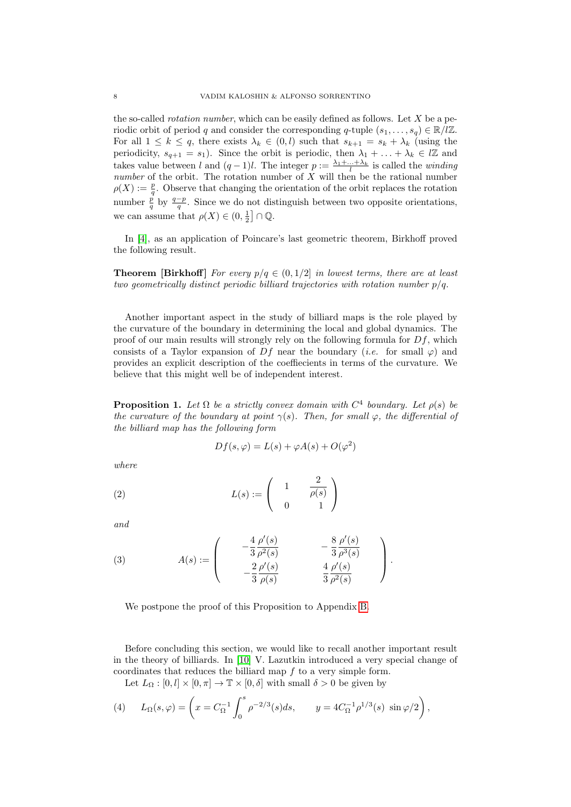the so-called *rotation number*, which can be easily defined as follows. Let  $X$  be a periodic orbit of period q and consider the corresponding q-tuple  $(s_1, \ldots, s_q) \in \mathbb{R}/\mathbb{Z}$ . For all  $1 \leq k \leq q$ , there exists  $\lambda_k \in (0, l)$  such that  $s_{k+1} = s_k + \lambda_k$  (using the periodicity,  $s_{q+1} = s_1$ ). Since the orbit is periodic, then  $\lambda_1 + \ldots + \lambda_k \in l\mathbb{Z}$  and takes value between l and  $(q-1)l$ . The integer  $p := \frac{\lambda_1 + \ldots + \lambda_k}{l}$  is called the *winding* number of the orbit. The rotation number of  $\overline{X}$  will then be the rational number  $\rho(X) := \frac{p}{q}$ . Observe that changing the orientation of the orbit replaces the rotation number  $\frac{p}{q}$  by  $\frac{q-p}{q}$ . Since we do not distinguish between two opposite orientations, we can assume that  $\rho(X) \in (0, \frac{1}{2}] \cap \mathbb{Q}$ .

In [\[4\]](#page-22-0), as an application of Poincare's last geometric theorem, Birkhoff proved the following result.

**Theorem [Birkhoff]** For every  $p/q \in (0, 1/2]$  in lowest terms, there are at least two geometrically distinct periodic billiard trajectories with rotation number  $p/q$ .

Another important aspect in the study of billiard maps is the role played by the curvature of the boundary in determining the local and global dynamics. The proof of our main results will strongly rely on the following formula for  $Df$ , which consists of a Taylor expansion of  $Df$  near the boundary (*i.e.* for small  $\varphi$ ) and provides an explicit description of the coeffiecients in terms of the curvature. We believe that this might well be of independent interest.

<span id="page-7-0"></span>**Proposition 1.** Let  $\Omega$  be a strictly convex domain with  $C^4$  boundary. Let  $\rho(s)$  be the curvature of the boundary at point  $\gamma(s)$ . Then, for small  $\varphi$ , the differential of the billiard map has the following form

$$
Df(s, \varphi) = L(s) + \varphi A(s) + O(\varphi^2)
$$

where

(2) 
$$
L(s) := \begin{pmatrix} 1 & \frac{2}{\rho(s)} \\ 0 & 1 \end{pmatrix}
$$

and

(3) 
$$
A(s) := \begin{pmatrix} -\frac{4}{3} \frac{\rho'(s)}{\rho^2(s)} & -\frac{8}{3} \frac{\rho'(s)}{\rho^3(s)} \\ -\frac{2}{3} \frac{\rho'(s)}{\rho(s)} & \frac{4}{3} \frac{\rho'(s)}{\rho^2(s)} \end{pmatrix}.
$$

We postpone the proof of this Proposition to Appendix [B.](#page-17-0)

Before concluding this section, we would like to recall another important result in the theory of billiards. In [\[10\]](#page-22-4) V. Lazutkin introduced a very special change of coordinates that reduces the billiard map f to a very simple form.

Let  $L_{\Omega} : [0, l] \times [0, \pi] \to \mathbb{T} \times [0, \delta]$  with small  $\delta > 0$  be given by

(4) 
$$
L_{\Omega}(s,\varphi) = \left(x = C_{\Omega}^{-1} \int_0^s \rho^{-2/3}(s)ds, \qquad y = 4C_{\Omega}^{-1} \rho^{1/3}(s) \sin \varphi/2\right),
$$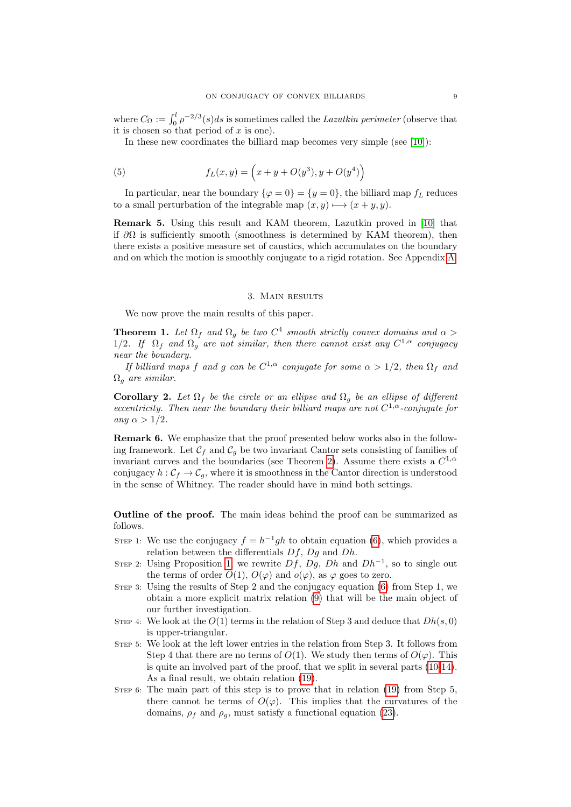where  $C_{\Omega} := \int_0^l \rho^{-2/3}(s)ds$  is sometimes called the Lazutkin perimeter (observe that it is chosen so that period of  $x$  is one).

In these new coordinates the billiard map becomes very simple (see [\[10\]](#page-22-4)):

(5) 
$$
f_L(x,y) = \left(x + y + O(y^3), y + O(y^4)\right)
$$

In particular, near the boundary  $\{\varphi = 0\} = \{y = 0\}$ , the billiard map  $f_L$  reduces to a small perturbation of the integrable map  $(x, y) \rightarrow (x + y, y)$ .

Remark 5. Using this result and KAM theorem, Lazutkin proved in [\[10\]](#page-22-4) that if  $\partial\Omega$  is sufficiently smooth (smoothness is determined by KAM theorem), then there exists a positive measure set of caustics, which accumulates on the boundary and on which the motion is smoothly conjugate to a rigid rotation. See Appendix [A.](#page-15-0)

### 3. Main results

<span id="page-8-1"></span>We now prove the main results of this paper.

<span id="page-8-0"></span>**Theorem 1.** Let  $\Omega_f$  and  $\Omega_g$  be two  $C^4$  smooth strictly convex domains and  $\alpha >$ 1/2. If  $\Omega_f$  and  $\Omega_g$  are not similar, then there cannot exist any  $C^{1,\alpha}$  conjugacy near the boundary.

If billiard maps f and g can be  $C^{1,\alpha}$  conjugate for some  $\alpha > 1/2$ , then  $\Omega_f$  and  $\Omega_q$  are similar.

**Corollary 2.** Let  $\Omega_f$  be the circle or an ellipse and  $\Omega_g$  be an ellipse of different eccentricity. Then near the boundary their billiard maps are not  $C^{1,\alpha}$ -conjugate for any  $\alpha > 1/2$ .

<span id="page-8-2"></span>Remark 6. We emphasize that the proof presented below works also in the following framework. Let  $\mathcal{C}_f$  and  $\mathcal{C}_g$  be two invariant Cantor sets consisting of families of invariant curves and the boundaries (see Theorem [2\)](#page-15-2). Assume there exists a  $C^{1,\alpha}$ conjugacy  $h : \mathcal{C}_f \to \mathcal{C}_q$ , where it is smoothness in the Cantor direction is understood in the sense of Whitney. The reader should have in mind both settings.

Outline of the proof. The main ideas behind the proof can be summarized as follows.

- STEP 1: We use the conjugacy  $f = h^{-1}gh$  to obtain equation [\(6\)](#page-9-0), which provides a relation between the differentials  $Df$ ,  $Dg$  and  $Dh$ .
- STEP 2: Using Proposition [1,](#page-7-0) we rewrite  $Df$ ,  $Dg$ ,  $Dh$  and  $Dh^{-1}$ , so to single out the terms of order  $O(1)$ ,  $O(\varphi)$  and  $o(\varphi)$ , as  $\varphi$  goes to zero.
- Step 3: Using the results of Step 2 and the conjugacy equation [\(6\)](#page-9-0) from Step 1, we obtain a more explicit matrix relation [\(9\)](#page-10-0) that will be the main object of our further investigation.
- STEP 4: We look at the  $O(1)$  terms in the relation of Step 3 and deduce that  $Dh(s, 0)$ is upper-triangular.
- Step 5: We look at the left lower entries in the relation from Step 3. It follows from Step 4 that there are no terms of  $O(1)$ . We study then terms of  $O(\varphi)$ . This is quite an involved part of the proof, that we split in several parts [\(10-14\)](#page-10-1). As a final result, we obtain relation [\(19\)](#page-12-0).
- STEP 6: The main part of this step is to prove that in relation [\(19\)](#page-12-0) from Step 5, there cannot be terms of  $O(\varphi)$ . This implies that the curvatures of the domains,  $\rho_f$  and  $\rho_q$ , must satisfy a functional equation [\(23\)](#page-13-0).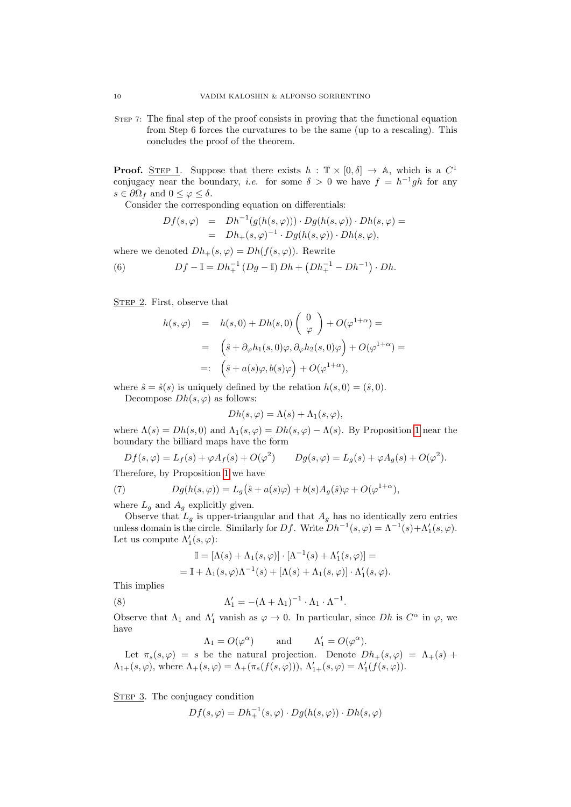Step 7: The final step of the proof consists in proving that the functional equation from Step 6 forces the curvatures to be the same (up to a rescaling). This concludes the proof of the theorem.

**Proof.** STEP 1. Suppose that there exists  $h : \mathbb{T} \times [0, \delta] \to \mathbb{A}$ , which is a  $C^1$ conjugacy near the boundary, *i.e.* for some  $\delta > 0$  we have  $f = h^{-1}gh$  for any  $s \in \partial \Omega_f$  and  $0 \leq \varphi \leq \delta$ .

Consider the corresponding equation on differentials:

<span id="page-9-0"></span>
$$
Df(s,\varphi) = Dh^{-1}(g(h(s,\varphi))) \cdot Dg(h(s,\varphi)) \cdot Dh(s,\varphi) =
$$
  
= 
$$
Dh_{+}(s,\varphi)^{-1} \cdot Dg(h(s,\varphi)) \cdot Dh(s,\varphi),
$$

where we denoted  $Dh_{+}(s, \varphi) = Dh(f(s, \varphi))$ . Rewrite

(6) 
$$
Df - \mathbb{I} = Dh_+^{-1} (Dg - \mathbb{I}) Dh + (Dh_+^{-1} - Dh_-^{-1}) \cdot Dh.
$$

STEP 2. First, observe that

$$
h(s,\varphi) = h(s,0) + Dh(s,0) \begin{pmatrix} 0 \\ \varphi \end{pmatrix} + O(\varphi^{1+\alpha}) =
$$
  
=  $(\hat{s} + \partial_{\varphi}h_1(s,0)\varphi, \partial_{\varphi}h_2(s,0)\varphi) + O(\varphi^{1+\alpha}) =$   
=:  $(\hat{s} + a(s)\varphi, b(s)\varphi) + O(\varphi^{1+\alpha}),$ 

where  $\hat{s} = \hat{s}(s)$  is uniquely defined by the relation  $h(s, 0) = (\hat{s}, 0)$ .

Decompose  $Dh(s, \varphi)$  as follows:

$$
Dh(s, \varphi) = \Lambda(s) + \Lambda_1(s, \varphi),
$$

where  $\Lambda(s) = Dh(s, 0)$  and  $\Lambda_1(s, \varphi) = Dh(s, \varphi) - \Lambda(s)$ . By Proposition [1](#page-7-0) near the boundary the billiard maps have the form

$$
Df(s,\varphi) = L_f(s) + \varphi A_f(s) + O(\varphi^2) \qquad Dg(s,\varphi) = L_g(s) + \varphi A_g(s) + O(\varphi^2).
$$

Therefore, by Proposition [1](#page-7-0) we have

(7) 
$$
Dg(h(s,\varphi)) = L_g(\hat{s} + a(s)\varphi) + b(s)A_g(\hat{s})\varphi + O(\varphi^{1+\alpha}),
$$

where  $L_q$  and  $A_q$  explicitly given.

Observe that  $L_g$  is upper-triangular and that  $A_g$  has no identically zero entries unless domain is the circle. Similarly for Df. Write  $Dh^{-1}(s, \varphi) = \Lambda^{-1}(s) + \Lambda'_1(s, \varphi)$ . Let us compute  $\Lambda'_1(s,\varphi)$ :

<span id="page-9-1"></span>
$$
\mathbb{I} = [\Lambda(s) + \Lambda_1(s,\varphi)] \cdot [\Lambda^{-1}(s) + \Lambda'_1(s,\varphi)] =
$$
  
= 
$$
\mathbb{I} + \Lambda_1(s,\varphi)\Lambda^{-1}(s) + [\Lambda(s) + \Lambda_1(s,\varphi)] \cdot \Lambda'_1(s,\varphi).
$$

This implies

(8) 
$$
\Lambda'_1 = -(\Lambda + \Lambda_1)^{-1} \cdot \Lambda_1 \cdot \Lambda^{-1}.
$$

Observe that  $\Lambda_1$  and  $\Lambda'_1$  vanish as  $\varphi \to 0$ . In particular, since Dh is  $C^{\alpha}$  in  $\varphi$ , we have

 $\Lambda_1 = O(\varphi^{\alpha})$ and  $l_1' = O(\varphi^{\alpha}).$ Let  $\pi_s(s, \varphi) = s$  be the natural projection. Denote  $Dh_+(s, \varphi) = \Lambda_+(s) +$  $\Lambda_{1+}(s,\varphi)$ , where  $\Lambda_{+}(s,\varphi) = \Lambda_{+}(\pi_{s}(f(s,\varphi))),$   $\Lambda'_{1+}(s,\varphi) = \Lambda'_{1}(f(s,\varphi)).$ 

STEP 3. The conjugacy condition

$$
Df(s, \varphi) = Dh_+^{-1}(s, \varphi) \cdot Dg(h(s, \varphi)) \cdot Dh(s, \varphi)
$$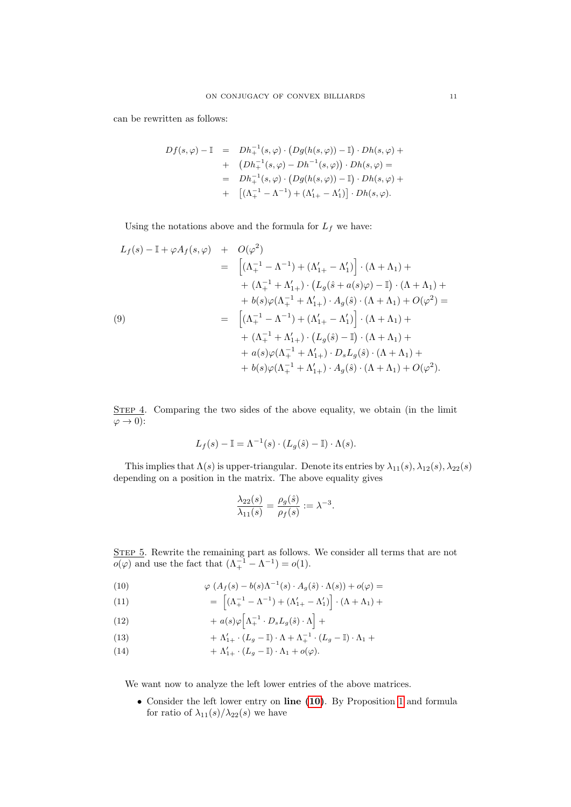can be rewritten as follows:

$$
Df(s,\varphi) - \mathbb{I} = Dh_+^{-1}(s,\varphi) \cdot (Dg(h(s,\varphi)) - \mathbb{I}) \cdot Dh(s,\varphi) ++ (Dh_+^{-1}(s,\varphi) - Dh^{-1}(s,\varphi)) \cdot Dh(s,\varphi) == Dh_+^{-1}(s,\varphi) \cdot (Dg(h(s,\varphi)) - \mathbb{I}) \cdot Dh(s,\varphi) ++ [(\Lambda_+^{-1} - \Lambda^{-1}) + (\Lambda_{1+}' - \Lambda_1')] \cdot Dh(s,\varphi).
$$

Using the notations above and the formula for  $L_f$  we have:

<span id="page-10-0"></span>
$$
L_f(s) - \mathbb{I} + \varphi A_f(s, \varphi) + O(\varphi^2)
$$
  
= 
$$
\left[ (\Lambda_+^{-1} - \Lambda^{-1}) + (\Lambda_{1+}' - \Lambda_1') \right] \cdot (\Lambda + \Lambda_1) +
$$
  
+ 
$$
(\Lambda_+^{-1} + \Lambda_{1+}') \cdot \left( L_g(\hat{s} + a(s)\varphi) - \mathbb{I} \right) \cdot (\Lambda + \Lambda_1) +
$$
  
+ 
$$
b(s)\varphi(\Lambda_+^{-1} + \Lambda_{1+}') \cdot A_g(\hat{s}) \cdot (\Lambda + \Lambda_1) + O(\varphi^2) =
$$
  
= 
$$
\left[ (\Lambda_+^{-1} - \Lambda^{-1}) + (\Lambda_{1+}' - \Lambda_1') \right] \cdot (\Lambda + \Lambda_1) +
$$
  
+ 
$$
(\Lambda_+^{-1} + \Lambda_{1+}') \cdot \left( L_g(\hat{s}) - \mathbb{I} \right) \cdot (\Lambda + \Lambda_1) +
$$
  
+ 
$$
a(s)\varphi(\Lambda_+^{-1} + \Lambda_{1+}') \cdot D_sL_g(\hat{s}) \cdot (\Lambda + \Lambda_1) +
$$
  
+ 
$$
b(s)\varphi(\Lambda_+^{-1} + \Lambda_{1+}') \cdot A_g(\hat{s}) \cdot (\Lambda + \Lambda_1) + O(\varphi^2).
$$

STEP 4. Comparing the two sides of the above equality, we obtain (in the limit  $\varphi \to 0$ :

$$
L_f(s) - \mathbb{I} = \Lambda^{-1}(s) \cdot (L_g(\hat{s}) - \mathbb{I}) \cdot \Lambda(s).
$$

This implies that  $\Lambda(s)$  is upper-triangular. Denote its entries by  $\lambda_{11}(s)$ ,  $\lambda_{12}(s)$ ,  $\lambda_{22}(s)$ depending on a position in the matrix. The above equality gives

$$
\frac{\lambda_{22}(s)}{\lambda_{11}(s)} = \frac{\rho_g(\hat{s})}{\rho_f(s)} := \lambda^{-3}.
$$

STEP 5. Rewrite the remaining part as follows. We consider all terms that are not  $o(\varphi)$  and use the fact that  $(\Lambda_+^{-1} - \Lambda^{-1}) = o(1)$ .

(10) 
$$
\varphi \left( A_f(s) - b(s) \Lambda^{-1}(s) \cdot A_g(\hat{s}) \cdot \Lambda(s) \right) + o(\varphi) =
$$

<span id="page-10-1"></span>(11) 
$$
= \left[ (\Lambda_+^{-1} - \Lambda^{-1}) + (\Lambda_{1+}' - \Lambda_1') \right] \cdot (\Lambda + \Lambda_1) +
$$

(12) 
$$
+ a(s)\varphi \Big[\Lambda^{-1}_+ \cdot D_s L_g(\hat{s}) \cdot \Lambda \Big] +
$$

(13) 
$$
+ \Lambda'_{1+} \cdot (L_g - \mathbb{I}) \cdot \Lambda + \Lambda^{-1}_{+} \cdot (L_g - \mathbb{I}) \cdot \Lambda_1 +
$$

(14) 
$$
+ \Lambda'_{1+} \cdot (L_g - \mathbb{I}) \cdot \Lambda_1 + o(\varphi).
$$

We want now to analyze the left lower entries of the above matrices.

• Consider the left lower entry on line [\(10\)](#page-10-1). By Proposition [1](#page-7-0) and formula for ratio of  $\lambda_{11}(s)/\lambda_{22}(s)$  we have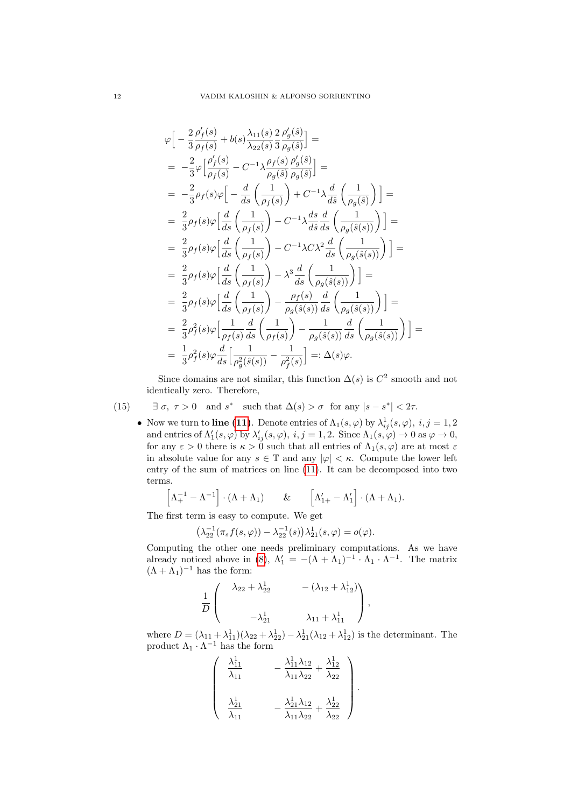$$
\varphi \Big[ -\frac{2}{3} \frac{\rho'_f(s)}{\rho_f(s)} + b(s) \frac{\lambda_{11}(s)}{\lambda_{22}(s)} \frac{2}{3} \frac{\rho'_g(\hat{s})}{\rho_g(\hat{s})} \Big] =
$$
\n
$$
= -\frac{2}{3} \varphi \Big[ \frac{\rho'_f(s)}{\rho_f(s)} - C^{-1} \lambda \frac{\rho_f(s)}{\rho_g(\hat{s})} \frac{\rho'_g(\hat{s})}{\rho_g(\hat{s})} \Big] =
$$
\n
$$
= -\frac{2}{3} \rho_f(s) \varphi \Big[ -\frac{d}{ds} \left( \frac{1}{\rho_f(s)} \right) + C^{-1} \lambda \frac{d}{d\hat{s}} \left( \frac{1}{\rho_g(\hat{s})} \right) \Big] =
$$
\n
$$
= \frac{2}{3} \rho_f(s) \varphi \Big[ \frac{d}{ds} \left( \frac{1}{\rho_f(s)} \right) - C^{-1} \lambda \frac{ds}{d\hat{s}} \frac{d}{ds} \left( \frac{1}{\rho_g(\hat{s}(s))} \right) \Big] =
$$
\n
$$
= \frac{2}{3} \rho_f(s) \varphi \Big[ \frac{d}{ds} \left( \frac{1}{\rho_f(s)} \right) - C^{-1} \lambda C \lambda^2 \frac{d}{ds} \left( \frac{1}{\rho_g(\hat{s}(s))} \right) \Big] =
$$
\n
$$
= \frac{2}{3} \rho_f(s) \varphi \Big[ \frac{d}{ds} \left( \frac{1}{\rho_f(s)} \right) - \lambda^3 \frac{d}{ds} \left( \frac{1}{\rho_g(\hat{s}(s))} \right) \Big] =
$$
\n
$$
= \frac{2}{3} \rho_f(s) \varphi \Big[ \frac{d}{ds} \left( \frac{1}{\rho_f(s)} \right) - \frac{\rho_f(s)}{\rho_g(\hat{s}(s))} \frac{d}{ds} \left( \frac{1}{\rho_g(\hat{s}(s))} \right) \Big] =
$$
\n
$$
= \frac{2}{3} \rho_f^2(s) \varphi \Big[ \frac{1}{\rho_f(s)} \frac{d}{ds} \left( \frac{1}{\rho_f(s)} \right) - \frac{1}{\rho_g(\hat{s}(s))} \frac{d}{ds} \left( \frac{1}{\rho_g(\hat{s}(s))} \right) \Big] =
$$
\n

Since domains are not similar, this function  $\Delta(s)$  is  $C^2$  smooth and not identically zero. Therefore,

(15) 
$$
\exists \sigma, \tau > 0
$$
 and  $s^*$  such that  $\Delta(s) > \sigma$  for any  $|s - s^*| < 2\tau$ .

<span id="page-11-0"></span>• Now we turn to line [\(11\)](#page-10-1). Denote entries of  $\Lambda_1(s, \varphi)$  by  $\lambda_{ij}^1(s, \varphi)$ ,  $i, j = 1, 2$ and entries of  $\Lambda'_1(s,\varphi)$  by  $\lambda'_{ij}(s,\varphi), i,j = 1,2$ . Since  $\Lambda_1(s,\varphi) \to 0$  as  $\varphi \to 0$ , for any  $\varepsilon > 0$  there is  $\kappa > 0$  such that all entries of  $\Lambda_1(s, \varphi)$  are at most  $\varepsilon$ in absolute value for any  $s \in \mathbb{T}$  and any  $|\varphi| < \kappa$ . Compute the lower left entry of the sum of matrices on line [\(11\)](#page-10-1). It can be decomposed into two terms.

$$
\left[\Lambda_+^{-1} - \Lambda^{-1}\right] \cdot (\Lambda + \Lambda_1) \qquad \& \qquad \left[\Lambda_{1+}' - \Lambda_1'\right] \cdot (\Lambda + \Lambda_1).
$$

The first term is easy to compute. We get

$$
\left(\lambda_{22}^{-1}(\pi_s f(s,\varphi)) - \lambda_{22}^{-1}(s)\right)\lambda_{21}^1(s,\varphi) = o(\varphi).
$$

Computing the other one needs preliminary computations. As we have already noticed above in [\(8\)](#page-9-1),  $\Lambda'_1 = -(\Lambda + \Lambda_1)^{-1} \cdot \Lambda_1 \cdot \Lambda^{-1}$ . The matrix  $(\Lambda + \Lambda_1)^{-1}$  has the form:

$$
\frac{1}{D}\left(\begin{array}{cc}\lambda_{22}+\lambda_{22}^1 & -(\lambda_{12}+\lambda_{12}^1) \\ \\ -\lambda_{21}^1 & \lambda_{11}+\lambda_{11}^1\end{array}\right),
$$

where  $D = (\lambda_{11} + \lambda_{11}^1)(\lambda_{22} + \lambda_{22}^1) - \lambda_{21}^1(\lambda_{12} + \lambda_{12}^1)$  is the determinant. The product  $\Lambda_1 \cdot \Lambda^{-1}$  has the form

.

$$
\begin{pmatrix}\n\frac{\lambda_{11}^1}{\lambda_{11}} & -\frac{\lambda_{11}^1 \lambda_{12}}{\lambda_{11} \lambda_{22}} + \frac{\lambda_{12}^1}{\lambda_{22}} \\
\frac{\lambda_{21}^1}{\lambda_{11}} & -\frac{\lambda_{21}^1 \lambda_{12}}{\lambda_{11} \lambda_{22}} + \frac{\lambda_{22}^1}{\lambda_{22}}\n\end{pmatrix}
$$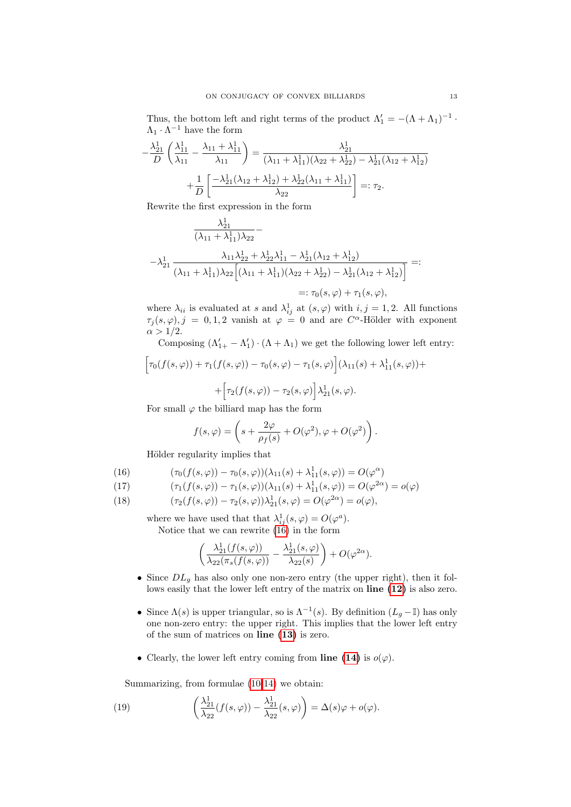Thus, the bottom left and right terms of the product  $\Lambda'_1 = -(\Lambda + \Lambda_1)^{-1}$ .  $\Lambda_1 \cdot \Lambda^{-1}$  have the form

$$
-\frac{\lambda_{21}^1}{D} \left( \frac{\lambda_{11}^1}{\lambda_{11}} - \frac{\lambda_{11} + \lambda_{11}^1}{\lambda_{11}} \right) = \frac{\lambda_{21}^1}{(\lambda_{11} + \lambda_{11}^1)(\lambda_{22} + \lambda_{22}^1) - \lambda_{21}^1(\lambda_{12} + \lambda_{12}^1)} + \frac{1}{D} \left[ \frac{-\lambda_{21}^1(\lambda_{12} + \lambda_{12}^1) + \lambda_{22}^1(\lambda_{11} + \lambda_{11}^1)}{\lambda_{22}} \right] =: \tau_2.
$$

Rewrite the first expression in the form

$$
\frac{\lambda_{21}^{1}}{(\lambda_{11} + \lambda_{11}^{1})\lambda_{22}} - \frac{\lambda_{11}\lambda_{22}^{1} + \lambda_{22}^{1}\lambda_{11}^{1} - \lambda_{21}^{1}(\lambda_{12} + \lambda_{12}^{1})}{(\lambda_{11} + \lambda_{11}^{1})\lambda_{22}\left[(\lambda_{11} + \lambda_{11}^{1})(\lambda_{22} + \lambda_{22}^{1}) - \lambda_{21}^{1}(\lambda_{12} + \lambda_{12}^{1})\right]} =: \tau_{0}(s, \varphi) + \tau_{1}(s, \varphi),
$$

where  $\lambda_{ii}$  is evaluated at s and  $\lambda_{ij}^1$  at  $(s, \varphi)$  with  $i, j = 1, 2$ . All functions  $\tau_j(s,\varphi), j = 0,1,2$  vanish at  $\varphi = 0$  and are  $C^{\alpha}$ -Hölder with exponent  $\alpha > 1/2$ .

Composing  $(\Lambda'_{1+} - \Lambda'_1) \cdot (\Lambda + \Lambda_1)$  we get the following lower left entry:

$$
\left[\tau_0(f(s,\varphi)) + \tau_1(f(s,\varphi)) - \tau_0(s,\varphi) - \tau_1(s,\varphi)\right](\lambda_{11}(s) + \lambda_{11}^1(s,\varphi)) + + \left[\tau_2(f(s,\varphi)) - \tau_2(s,\varphi)\right] \lambda_{21}^1(s,\varphi).
$$

For small  $\varphi$  the billiard map has the form

$$
f(s,\varphi) = \left(s + \frac{2\varphi}{\rho_f(s)} + O(\varphi^2), \varphi + O(\varphi^2)\right).
$$

<span id="page-12-1"></span>Hölder regularity implies that

(16) 
$$
(\tau_0(f(s,\varphi)) - \tau_0(s,\varphi))(\lambda_{11}(s) + \lambda_{11}^1(s,\varphi)) = O(\varphi^{\alpha})
$$

(17) 
$$
(\tau_1(f(s,\varphi)) - \tau_1(s,\varphi))(\lambda_{11}(s) + \lambda_{11}^1(s,\varphi)) = O(\varphi^{2\alpha}) = o(\varphi)
$$

(18) 
$$
(\tau_2(f(s,\varphi)) - \tau_2(s,\varphi))\lambda_{21}^1(s,\varphi) = O(\varphi^{2\alpha}) = o(\varphi),
$$

where we have used that that  $\lambda_{ij}^1(s, \varphi) = O(\varphi^a)$ . Notice that we can rewrite [\(16\)](#page-12-1) in the form

$$
\left(\frac{\lambda_{21}^1(f(s,\varphi))}{\lambda_{22}(\pi_s(f(s,\varphi))}-\frac{\lambda_{21}^1(s,\varphi)}{\lambda_{22}(s)}\right)+O(\varphi^{2\alpha}).
$$

- Since  $DL_g$  has also only one non-zero entry (the upper right), then it follows easily that the lower left entry of the matrix on line  $(12)$  is also zero.
- Since  $\Lambda(s)$  is upper triangular, so is  $\Lambda^{-1}(s)$ . By definition  $(L_g \mathbb{I})$  has only one non-zero entry: the upper right. This implies that the lower left entry of the sum of matrices on line [\(13\)](#page-10-1) is zero.
- Clearly, the lower left entry coming from line [\(14\)](#page-10-1) is  $o(\varphi)$ .

<span id="page-12-0"></span>Summarizing, from formulae [\(10-14\)](#page-10-1) we obtain:

(19) 
$$
\left(\frac{\lambda_{21}^1}{\lambda_{22}}(f(s,\varphi))-\frac{\lambda_{21}^1}{\lambda_{22}}(s,\varphi)\right)=\Delta(s)\varphi+o(\varphi).
$$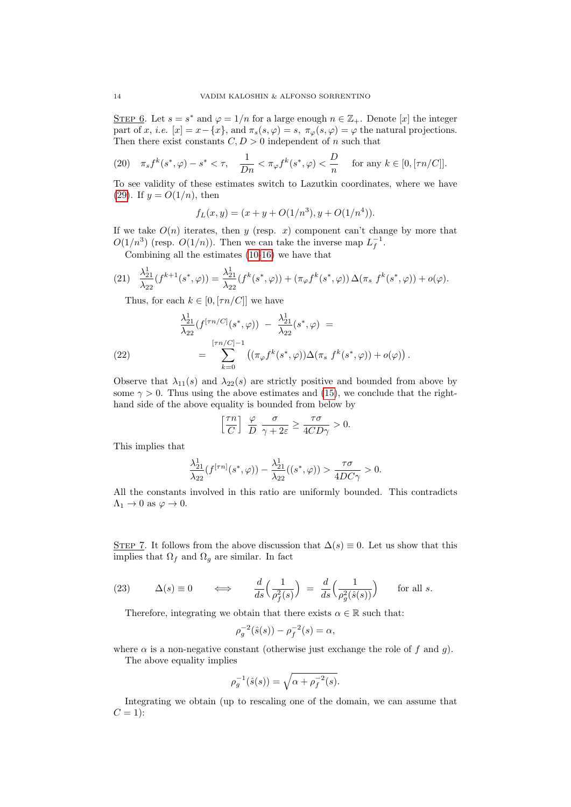STEP 6. Let  $s = s^*$  and  $\varphi = 1/n$  for a large enough  $n \in \mathbb{Z}_+$ . Denote [x] the integer part of x, i.e.  $[x] = x - \{x\}$ , and  $\pi_s(s, \varphi) = s$ ,  $\pi_{\varphi}(s, \varphi) = \varphi$  the natural projections. Then there exist constants  $C, D > 0$  independent of n such that

(20) 
$$
\pi_s f^k(s^*, \varphi) - s^* < \tau
$$
,  $\frac{1}{Dn} < \pi_{\varphi} f^k(s^*, \varphi) < \frac{D}{n}$  for any  $k \in [0, [\tau n/C]]$ .

To see validity of these estimates switch to Lazutkin coordinates, where we have [\(29\)](#page-20-1). If  $y = O(1/n)$ , then

$$
f_L(x, y) = (x + y + O(1/n^3), y + O(1/n^4)).
$$

If we take  $O(n)$  iterates, then y (resp. x) component can't change by more that  $O(1/n^3)$  (resp.  $O(1/n)$ ). Then we can take the inverse map  $L_f^{-1}$ .

Combining all the estimates [\(10-](#page-10-1)[16\)](#page-12-1) we have that

$$
(21) \quad \frac{\lambda_{21}^1}{\lambda_{22}}(f^{k+1}(s^*,\varphi)) = \frac{\lambda_{21}^1}{\lambda_{22}}(f^k(s^*,\varphi)) + (\pi_\varphi f^k(s^*,\varphi))\,\Delta(\pi_s \, f^k(s^*,\varphi)) + o(\varphi).
$$

Thus, for each  $k \in [0, \lceil \tau n / C \rceil]$  we have

(22) 
$$
\frac{\lambda_{21}^1}{\lambda_{22}}(f^{[\tau n/C]}(s^*,\varphi)) - \frac{\lambda_{21}^1}{\lambda_{22}}(s^*,\varphi) =
$$

$$
= \sum_{k=0}^{[\tau n/C]-1} ((\pi_{\varphi}f^k(s^*,\varphi))\Delta(\pi_s f^k(s^*,\varphi)) + o(\varphi)).
$$

Observe that  $\lambda_{11}(s)$  and  $\lambda_{22}(s)$  are strictly positive and bounded from above by some  $\gamma > 0$ . Thus using the above estimates and [\(15\)](#page-11-0), we conclude that the righthand side of the above equality is bounded from below by

$$
\left[\frac{\tau n}{C}\right]\;\frac{\varphi}{D}\;\frac{\sigma}{\gamma+2\varepsilon}\geq\frac{\tau\sigma}{4CD\gamma}>0.
$$

This implies that

$$
\frac{\lambda_{21}^1}{\lambda_{22}}(f^{[\tau n]}(s^*,\varphi))-\frac{\lambda_{21}^1}{\lambda_{22}}((s^*,\varphi))>\frac{\tau\sigma}{4DC\gamma}>0.
$$

All the constants involved in this ratio are uniformly bounded. This contradicts  $\Lambda_1 \rightarrow 0$  as  $\varphi \rightarrow 0$ .

STEP 7. It follows from the above discussion that  $\Delta(s) \equiv 0$ . Let us show that this implies that  $\Omega_f$  and  $\Omega_g$  are similar. In fact

<span id="page-13-0"></span>(23) 
$$
\Delta(s) \equiv 0 \qquad \Longleftrightarrow \qquad \frac{d}{ds} \left( \frac{1}{\rho_f^2(s)} \right) \ = \ \frac{d}{ds} \left( \frac{1}{\rho_g^2(\hat{s}(s))} \right) \qquad \text{for all } s.
$$

Therefore, integrating we obtain that there exists  $\alpha \in \mathbb{R}$  such that:

$$
\rho_g^{-2}(\hat{s}(s)) - \rho_f^{-2}(s) = \alpha,
$$

where  $\alpha$  is a non-negative constant (otherwise just exchange the role of f and q). The above equality implies

$$
\rho_g^{-1}(\hat{s}(s)) = \sqrt{\alpha + \rho_f^{-2}(s)}.
$$

Integrating we obtain (up to rescaling one of the domain, we can assume that  $C=1$ :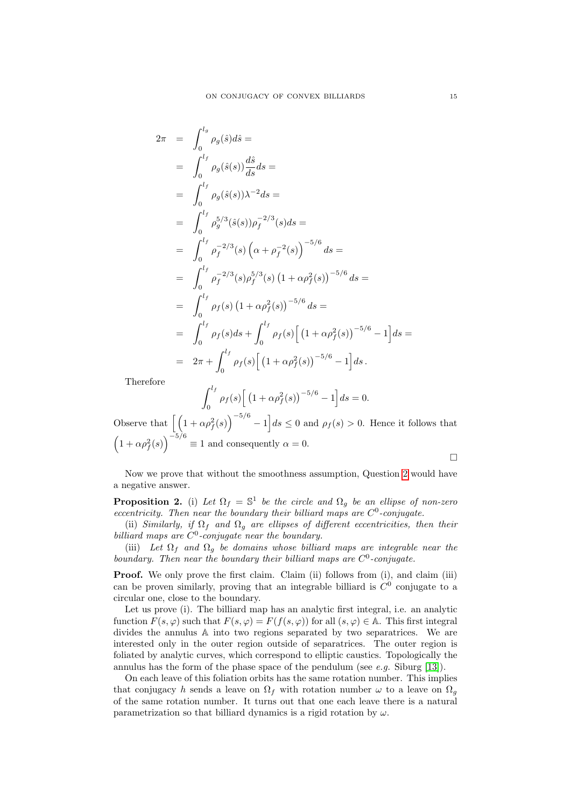$$
2\pi = \int_0^{l_g} \rho_g(\hat{s}) d\hat{s} =
$$
  
\n
$$
= \int_0^{l_f} \rho_g(\hat{s}(s)) \frac{d\hat{s}}{ds} ds =
$$
  
\n
$$
= \int_0^{l_f} \rho_g(\hat{s}(s)) \lambda^{-2} ds =
$$
  
\n
$$
= \int_0^{l_f} \rho_g^{5/3}(\hat{s}(s)) \rho_f^{-2/3}(s) ds =
$$
  
\n
$$
= \int_0^{l_f} \rho_f^{-2/3}(s) \left( \alpha + \rho_f^{-2}(s) \right)^{-5/6} ds =
$$
  
\n
$$
= \int_0^{l_f} \rho_f^{-2/3}(s) \rho_f^{5/3}(s) (1 + \alpha \rho_f^{2}(s))^{-5/6} ds =
$$
  
\n
$$
= \int_0^{l_f} \rho_f(s) (1 + \alpha \rho_f^{2}(s))^{-5/6} ds =
$$
  
\n
$$
= \int_0^{l_f} \rho_f(s) ds + \int_0^{l_f} \rho_f(s) \left[ (1 + \alpha \rho_f^{2}(s))^{-5/6} - 1 \right] ds
$$
  
\n
$$
= 2\pi + \int_0^{l_f} \rho_f(s) \left[ (1 + \alpha \rho_f^{2}(s))^{-5/6} - 1 \right] ds.
$$

Therefore

$$
\int_0^{l_f} \rho_f(s) \Big[ \left( 1 + \alpha \rho_f^2(s) \right)^{-5/6} - 1 \Big] ds = 0.
$$

Observe that  $\left[ \left(1 + \alpha \rho_f^2(s)\right)^{-5/6} - 1 \right] ds \leq 0$  and  $\rho_f(s) > 0$ . Hence it follows that  $\left(1+\alpha\rho_f^2(s)\right)^{-5/6} \equiv 1$  and consequently  $\alpha=0$ .

 $\Box$ 

 $=$ 

Now we prove that without the smoothness assumption, Question [2](#page-1-2) would have a negative answer.

<span id="page-14-0"></span>**Proposition 2.** (i) Let  $\Omega_f = \mathbb{S}^1$  be the circle and  $\Omega_g$  be an ellipse of non-zero eccentricity. Then near the boundary their billiard maps are  $C^0$ -conjugate.

(ii) Similarly, if  $\Omega_f$  and  $\Omega_g$  are ellipses of different eccentricities, then their billiard maps are  $C^0$ -conjugate near the boundary.

(iii) Let  $\Omega_f$  and  $\Omega_g$  be domains whose billiard maps are integrable near the boundary. Then near the boundary their billiard maps are  $C^0$ -conjugate.

Proof. We only prove the first claim. Claim (ii) follows from (i), and claim (iii) can be proven similarly, proving that an integrable billiard is  $C<sup>0</sup>$  conjugate to a circular one, close to the boundary.

Let us prove (i). The billiard map has an analytic first integral, i.e. an analytic function  $F(s, \varphi)$  such that  $F(s, \varphi) = F(f(s, \varphi))$  for all  $(s, \varphi) \in A$ . This first integral divides the annulus A into two regions separated by two separatrices. We are interested only in the outer region outside of separatrices. The outer region is foliated by analytic curves, which correspond to elliptic caustics. Topologically the annulus has the form of the phase space of the pendulum (see e.g. Siburg [\[13\]](#page-22-8)).

On each leave of this foliation orbits has the same rotation number. This implies that conjugacy h sends a leave on  $\Omega_f$  with rotation number  $\omega$  to a leave on  $\Omega_g$ of the same rotation number. It turns out that one each leave there is a natural parametrization so that billiard dynamics is a rigid rotation by  $\omega$ .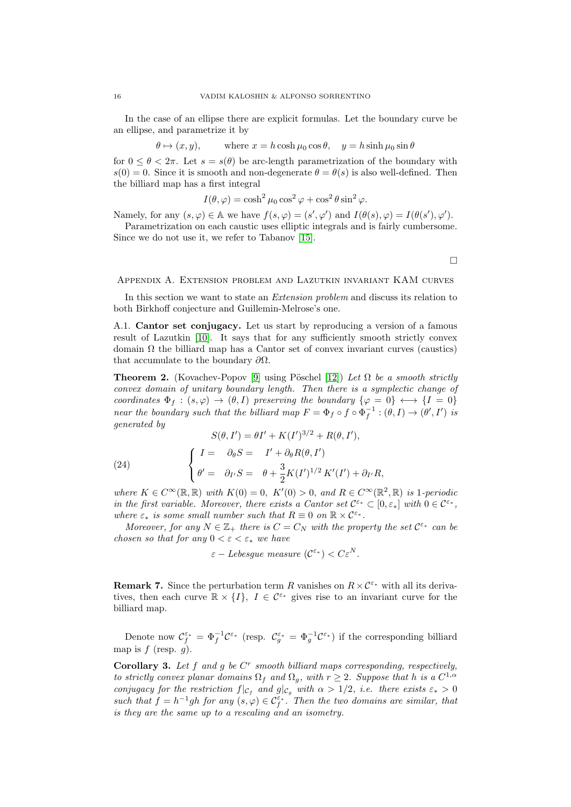In the case of an ellipse there are explicit formulas. Let the boundary curve be an ellipse, and parametrize it by

$$
\theta \mapsto (x, y)
$$
, where  $x = h \cosh \mu_0 \cos \theta$ ,  $y = h \sinh \mu_0 \sin \theta$ 

for  $0 \le \theta \le 2\pi$ . Let  $s = s(\theta)$  be arc-length parametrization of the boundary with  $s(0) = 0$ . Since it is smooth and non-degenerate  $\theta = \theta(s)$  is also well-defined. Then the billiard map has a first integral

 $I(\theta, \varphi) = \cosh^2 \mu_0 \cos^2 \varphi + \cos^2 \theta \sin^2 \varphi.$ 

Namely, for any  $(s, \varphi) \in A$  we have  $f(s, \varphi) = (s', \varphi')$  and  $I(\theta(s), \varphi) = I(\theta(s'), \varphi')$ .

Parametrization on each caustic uses elliptic integrals and is fairly cumbersome. Since we do not use it, we refer to Tabanov [\[15\]](#page-22-12).

 $\Box$ 

### <span id="page-15-0"></span>Appendix A. Extension problem and Lazutkin invariant KAM curves

In this section we want to state an Extension problem and discuss its relation to both Birkhoff conjecture and Guillemin-Melrose's one.

A.1. Cantor set conjugacy. Let us start by reproducing a version of a famous result of Lazutkin [\[10\]](#page-22-4). It says that for any sufficiently smooth strictly convex domain  $\Omega$  the billiard map has a Cantor set of convex invariant curves (caustics) that accumulate to the boundary  $\partial\Omega$ .

<span id="page-15-2"></span>**Theorem 2.** (Kovachev-Popov [\[9\]](#page-22-5) using Pöschel [\[12\]](#page-22-13)) Let  $\Omega$  be a smooth strictly convex domain of unitary boundary length. Then there is a symplectic change of coordinates  $\Phi_f : (s, \varphi) \to (\theta, I)$  preserving the boundary  $\{\varphi = 0\} \leftrightarrow \{I = 0\}$ near the boundary such that the billiard map  $F = \Phi_f \circ f \circ \Phi_f^{-1} : (\theta, I) \to (\theta', I')$  is generated by  $\overline{R}$   $\overline{R}$   $\overline{R}$ 

(24)  

$$
S(\theta, I') = \theta I' + K(I')^{3/2} + R(\theta, I'),
$$

$$
\begin{cases} I = \partial_{\theta} S = I' + \partial_{\theta} R(\theta, I') \\ \theta' = \partial_{I'} S = \theta + \frac{3}{2} K(I')^{1/2} K'(I') + \partial_{I'} R, \end{cases}
$$

where  $K \in C^{\infty}(\mathbb{R}, \mathbb{R})$  with  $K(0) = 0$ ,  $K'(0) > 0$ , and  $R \in C^{\infty}(\mathbb{R}^2, \mathbb{R})$  is 1-periodic in the first variable. Moreover, there exists a Cantor set  $C^{\varepsilon_*} \subset [0, \varepsilon_*]$  with  $0 \in C^{\varepsilon_*}$ , where  $\varepsilon_*$  is some small number such that  $R \equiv 0$  on  $\mathbb{R} \times C^{\varepsilon_*}$ .

Moreover, for any  $N \in \mathbb{Z}_+$  there is  $C = C_N$  with the property the set  $\mathcal{C}^{\varepsilon_*}$  can be chosen so that for any  $0 < \varepsilon < \varepsilon_*$  we have

$$
\varepsilon
$$
 - Lebesgue measure  $(\mathcal{C}^{\varepsilon_*}) < C\varepsilon^N$ .

**Remark 7.** Since the perturbation term R vanishes on  $R \times C^{\varepsilon_*}$  with all its derivatives, then each curve  $\mathbb{R} \times \{I\}$ ,  $I \in \mathcal{C}^{\varepsilon_*}$  gives rise to an invariant curve for the billiard map.

Denote now  $\mathcal{C}_f^{\varepsilon_*} = \Phi_f^{-1} \mathcal{C}^{\varepsilon_*}$  (resp.  $\mathcal{C}_g^{\varepsilon_*} = \Phi_g^{-1} \mathcal{C}^{\varepsilon_*}$ ) if the corresponding billiard map is  $f$  (resp.  $g$ ).

<span id="page-15-1"></span>**Corollary 3.** Let  $f$  and  $g$  be  $C^r$  smooth billiard maps corresponding, respectively, to strictly convex planar domains  $\Omega_f$  and  $\Omega_g$ , with  $r \geq 2$ . Suppose that h is a  $C^{1,\alpha}$ conjugacy for the restriction  $f|_{\mathcal{C}_f}$  and  $g|_{\mathcal{C}_g}$  with  $\alpha > 1/2$ , i.e. there exists  $\varepsilon_* > 0$ such that  $f = h^{-1}gh$  for any  $(s, \varphi) \in C_f^{\varepsilon_*}$ . Then the two domains are similar, that is they are the same up to a rescaling and an isometry.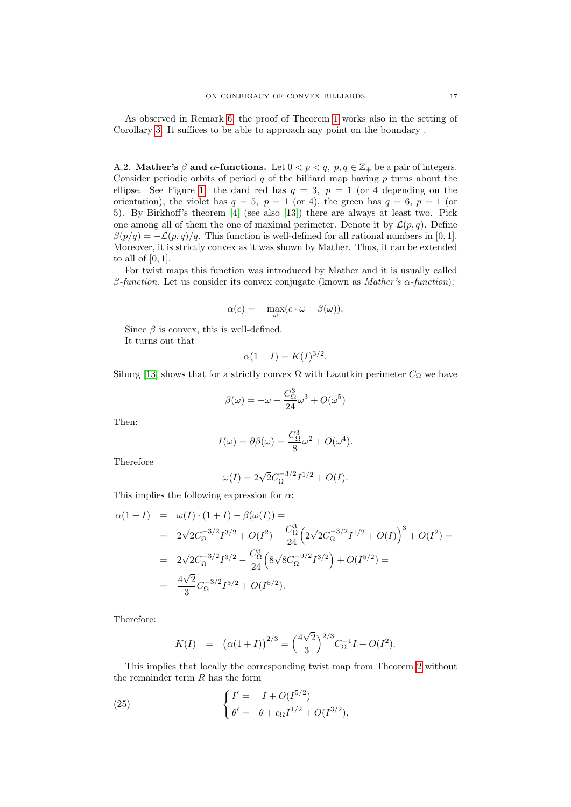As observed in Remark [6,](#page-8-2) the proof of Theorem [1](#page-8-0) works also in the setting of Corollary [3.](#page-15-1) It suffices to be able to approach any point on the boundary .

<span id="page-16-0"></span>A.2. Mather's  $\beta$  and  $\alpha$ -functions. Let  $0 < p < q$ ,  $p, q \in \mathbb{Z}_+$  be a pair of integers. Consider periodic orbits of period  $q$  of the billiard map having  $p$  turns about the ellipse. See Figure [1:](#page-1-0) the dard red has  $q = 3$ ,  $p = 1$  (or 4 depending on the orientation), the violet has  $q = 5$ ,  $p = 1$  (or 4), the green has  $q = 6$ ,  $p = 1$  (or 5). By Birkhoff's theorem [\[4\]](#page-22-0) (see also [\[13\]](#page-22-8)) there are always at least two. Pick one among all of them the one of maximal perimeter. Denote it by  $\mathcal{L}(p,q)$ . Define  $\beta(p/q) = -\mathcal{L}(p,q)/q$ . This function is well-defined for all rational numbers in [0, 1]. Moreover, it is strictly convex as it was shown by Mather. Thus, it can be extended to all of  $[0, 1]$ .

For twist maps this function was introduced by Mather and it is usually called β-function. Let us consider its convex conjugate (known as *Mather's α-function*):

$$
\alpha(c) = -\max_{\omega} (c \cdot \omega - \beta(\omega)).
$$

Since  $\beta$  is convex, this is well-defined.

It turns out that

$$
\alpha(1+I) = K(I)^{3/2}.
$$

Siburg [\[13\]](#page-22-8) shows that for a strictly convex  $\Omega$  with Lazutkin perimeter  $C_{\Omega}$  we have

$$
\beta(\omega) = -\omega + \frac{C_{\Omega}^3}{24}\omega^3 + O(\omega^5)
$$

Then:

$$
I(\omega) = \partial \beta(\omega) = \frac{C_{\Omega}^3}{8} \omega^2 + O(\omega^4).
$$

Therefore

$$
\omega(I) = 2\sqrt{2}C_{\Omega}^{-3/2}I^{1/2} + O(I).
$$

This implies the following expression for  $\alpha\colon$ 

$$
\alpha(1+I) = \omega(I) \cdot (1+I) - \beta(\omega(I)) =
$$
  
\n
$$
= 2\sqrt{2}C_{\Omega}^{-3/2}I^{3/2} + O(I^2) - \frac{C_{\Omega}^3}{24}\left(2\sqrt{2}C_{\Omega}^{-3/2}I^{1/2} + O(I)\right)^3 + O(I^2) =
$$
  
\n
$$
= 2\sqrt{2}C_{\Omega}^{-3/2}I^{3/2} - \frac{C_{\Omega}^3}{24}\left(8\sqrt{8}C_{\Omega}^{-9/2}I^{3/2}\right) + O(I^{5/2}) =
$$
  
\n
$$
= \frac{4\sqrt{2}}{3}C_{\Omega}^{-3/2}I^{3/2} + O(I^{5/2}).
$$

Therefore:

$$
K(I) = (\alpha(1+I))^{2/3} = \left(\frac{4\sqrt{2}}{3}\right)^{2/3} C_{\Omega}^{-1} I + O(I^2).
$$

This implies that locally the corresponding twist map from Theorem [2](#page-15-2) without the remainder term  $R$  has the form

(25) 
$$
\begin{cases} I' = I + O(I^{5/2}) \\ \theta' = \theta + c_{\Omega} I^{1/2} + O(I^{3/2}), \end{cases}
$$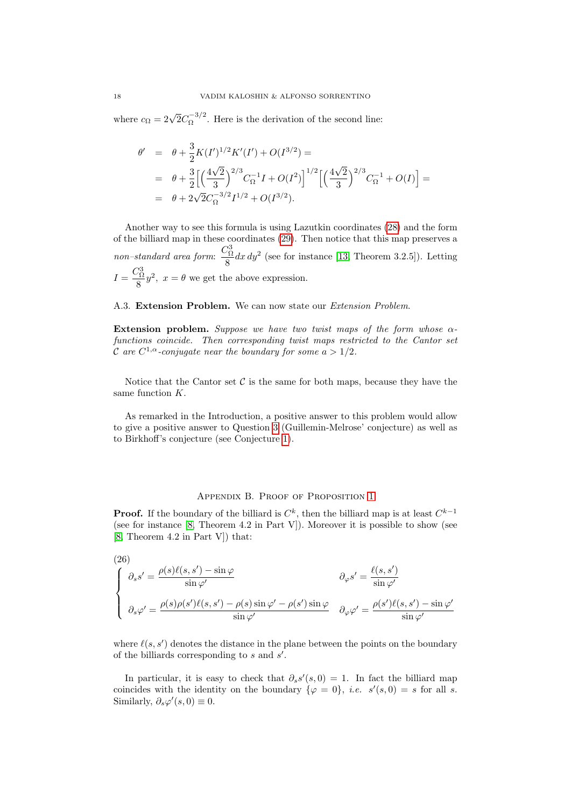where  $c_{\Omega} = 2\sqrt{2}C_{\Omega}^{-3/2}$  $\int_{\Omega}^{\infty}$ . Here is the derivation of the second line:

$$
\begin{aligned}\n\theta' &= \theta + \frac{3}{2} K(I')^{1/2} K'(I') + O(I^{3/2}) \\
&= \theta + \frac{3}{2} \Big[ \Big( \frac{4\sqrt{2}}{3} \Big)^{2/3} C_{\Omega}^{-1} I + O(I^2) \Big]^{1/2} \Big[ \Big( \frac{4\sqrt{2}}{3} \Big)^{2/3} C_{\Omega}^{-1} + O(I) \Big] \\
&= \theta + 2\sqrt{2} C_{\Omega}^{-3/2} I^{1/2} + O(I^{3/2}).\n\end{aligned}
$$

Another way to see this formula is using Lazutkin coordinates [\(28\)](#page-20-2) and the form of the billiard map in these coordinates [\(29\)](#page-20-1). Then notice that this map preserves a non–standard area form:  $\frac{C_{\Omega}^3}{2}$  $\frac{8}{8}dx\,dy^2$  (see for instance [\[13,](#page-22-8) Theorem 3.2.5]). Letting  $I = \frac{C_{\Omega}^3}{\sigma}$  $\frac{\partial \Omega}{\partial \theta} y^2$ ,  $x = \theta$  we get the above expression.

### A.3. Extension Problem. We can now state our Extension Problem.

Extension problem. Suppose we have two twist maps of the form whose  $\alpha$ functions coincide. Then corresponding twist maps restricted to the Cantor set C are  $C^{1,\alpha}$ -conjugate near the boundary for some  $a > 1/2$ .

Notice that the Cantor set  $\mathcal C$  is the same for both maps, because they have the same function K.

As remarked in the Introduction, a positive answer to this problem would allow to give a positive answer to Question [3](#page-4-1) (Guillemin-Melrose' conjecture) as well as to Birkhoff's conjecture (see Conjecture [1\)](#page-3-1).

## Appendix B. Proof of Proposition [1](#page-7-0)

<span id="page-17-0"></span>**Proof.** If the boundary of the billiard is  $C^k$ , then the billiard map is at least  $C^{k-1}$ (see for instance [\[8,](#page-22-14) Theorem 4.2 in Part V]). Moreover it is possible to show (see [\[8,](#page-22-14) Theorem 4.2 in Part V]) that:

<span id="page-17-1"></span>(26)  
\n
$$
\begin{cases}\n\partial_s s' = \frac{\rho(s)\ell(s,s') - \sin\varphi}{\sin\varphi'} & \partial_\varphi s' = \frac{\ell(s,s')}{\sin\varphi'} \\
\partial_s \varphi' = \frac{\rho(s)\rho(s')\ell(s,s') - \rho(s)\sin\varphi' - \rho(s')\sin\varphi}{\sin\varphi'} & \partial_\varphi \varphi' = \frac{\rho(s')\ell(s,s') - \sin\varphi'}{\sin\varphi'}\n\end{cases}
$$

where  $\ell(s, s')$  denotes the distance in the plane between the points on the boundary of the billiards corresponding to  $s$  and  $s'$ .

In particular, it is easy to check that  $\partial_s s'(s,0) = 1$ . In fact the billiard map coincides with the identity on the boundary  $\{\varphi = 0\}$ , *i.e.*  $s'(s, 0) = s$  for all *s*. Similarly,  $\partial_s \varphi'(s,0) \equiv 0$ .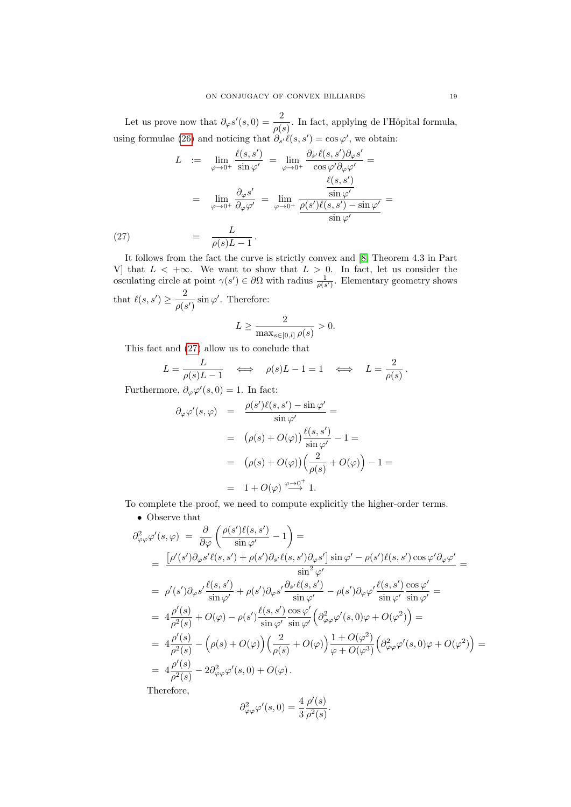Let us prove now that  $\partial_{\varphi} s'(s,0) = \frac{2}{\rho(s)}$ . In fact, applying de l'Hôpital formula, using formulae [\(26\)](#page-17-1) and noticing that  $\partial_{s'} \ell(s, s') = \cos \varphi'$ , we obtain:

<span id="page-18-0"></span>
$$
L := \lim_{\varphi \to 0^{+}} \frac{\ell(s, s')}{\sin \varphi'} = \lim_{\varphi \to 0^{+}} \frac{\partial_{s'} \ell(s, s') \partial_{\varphi} s'}{\cos \varphi' \partial_{\varphi} \varphi'} =
$$

$$
= \lim_{\varphi \to 0^{+}} \frac{\partial_{\varphi} s'}{\partial_{\varphi} \varphi'} = \lim_{\varphi \to 0^{+}} \frac{\frac{\ell(s, s')}{\sin \varphi'}}{\frac{\sin \varphi'}{\sin \varphi'}} =
$$

$$
(27) = \frac{L}{\rho(s)L - 1}.
$$

It follows from the fact the curve is strictly convex and [\[8,](#page-22-14) Theorem 4.3 in Part V] that  $L < +\infty$ . We want to show that  $L > 0$ . In fact, let us consider the osculating circle at point  $\gamma(s') \in \partial\Omega$  with radius  $\frac{1}{\rho(s')}$ . Elementary geometry shows that  $\ell(s, s') \geq \frac{2}{\sqrt{3}}$  $\frac{2}{\rho(s')}$  sin  $\varphi'$ . Therefore:

$$
L \ge \frac{2}{\max_{s \in [0,l]} \rho(s)} > 0.
$$

This fact and [\(27\)](#page-18-0) allow us to conclude that

$$
L = \frac{L}{\rho(s)L - 1} \quad \Longleftrightarrow \quad \rho(s)L - 1 = 1 \quad \Longleftrightarrow \quad L = \frac{2}{\rho(s)}.
$$

Furthermore,  $\partial_{\varphi} \varphi'(s,0) = 1$ . In fact:

$$
\partial_{\varphi} \varphi'(s, \varphi) = \frac{\rho(s')\ell(s, s') - \sin \varphi'}{\sin \varphi'} =
$$
  
=  $(\rho(s) + O(\varphi)) \frac{\ell(s, s')}{\sin \varphi'} - 1 =$   
=  $(\rho(s) + O(\varphi)) \left(\frac{2}{\rho(s)} + O(\varphi)\right) - 1 =$   
=  $1 + O(\varphi) \stackrel{\varphi \to 0^+}{\longrightarrow} 1.$ 

To complete the proof, we need to compute explicitly the higher-order terms.

# • Observe that

$$
\partial_{\varphi\varphi}^{2}\varphi'(s,\varphi) = \frac{\partial}{\partial\varphi}\left(\frac{\rho(s')\ell(s,s')}{\sin\varphi'}-1\right) =
$$
\n
$$
= \frac{\left[\rho'(s')\partial_{\varphi}s'\ell(s,s') + \rho(s')\partial_{s'}\ell(s,s')\partial_{\varphi}s'\right]\sin\varphi' - \rho(s')\ell(s,s')\cos\varphi'\partial_{\varphi}\varphi'}{\sin^{2}\varphi'} =
$$
\n
$$
= \rho'(s')\partial_{\varphi}s'\frac{\ell(s,s')}{\sin\varphi'} + \rho(s')\partial_{\varphi}s'\frac{\partial_{s'}\ell(s,s')}{\sin\varphi'} - \rho(s')\partial_{\varphi}\varphi'\frac{\ell(s,s')}{\sin\varphi'}\frac{\cos\varphi'}{\sin\varphi'} =
$$
\n
$$
= 4\frac{\rho'(s)}{\rho^{2}(s)} + O(\varphi) - \rho(s')\frac{\ell(s,s')}{\sin\varphi'}\frac{\cos\varphi'}{\sin\varphi'}\left(\partial_{\varphi\varphi}^{2}\varphi'(s,0)\varphi + O(\varphi^{2})\right) =
$$
\n
$$
= 4\frac{\rho'(s)}{\rho^{2}(s)} - \left(\rho(s) + O(\varphi)\right)\left(\frac{2}{\rho(s)} + O(\varphi)\right)\frac{1 + O(\varphi^{2})}{\varphi + O(\varphi^{3})}\left(\partial_{\varphi\varphi}^{2}\varphi'(s,0)\varphi + O(\varphi^{2})\right) =
$$
\n
$$
= 4\frac{\rho'(s)}{\rho^{2}(s)} - 2\partial_{\varphi\varphi}^{2}\varphi'(s,0) + O(\varphi).
$$
\nTherefore,

 $\partial^2_{\varphi\varphi}\varphi'(s,0) = \frac{4}{3}$  $\rho'(s)$  $\frac{\rho^{(c)}}{\rho^2(s)}$ .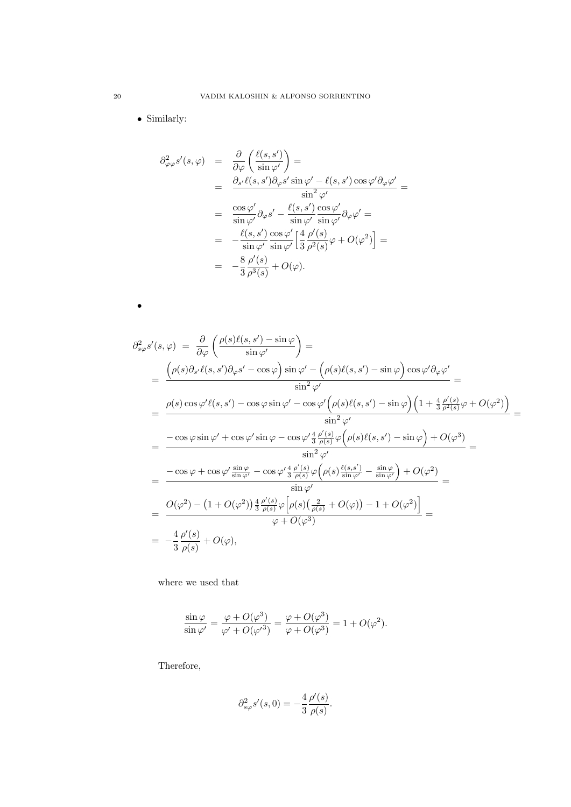• Similarly:

$$
\partial_{\varphi\varphi}^{2} s'(s, \varphi) = \frac{\partial}{\partial \varphi} \left( \frac{\ell(s, s')}{\sin \varphi'} \right) =
$$
\n
$$
= \frac{\partial_{s'} \ell(s, s') \partial_{\varphi} s' \sin \varphi' - \ell(s, s') \cos \varphi' \partial_{\varphi} \varphi'}{\sin^{2} \varphi'} =
$$
\n
$$
= \frac{\cos \varphi'}{\sin \varphi'} \partial_{\varphi} s' - \frac{\ell(s, s')}{\sin \varphi'} \frac{\cos \varphi'}{\sin \varphi'} \partial_{\varphi} \varphi' =
$$
\n
$$
= -\frac{\ell(s, s')}{\sin \varphi'} \frac{\cos \varphi'}{\sin \varphi'} \left[ \frac{4}{3} \frac{\rho'(s)}{\rho^{2}(s)} \varphi + O(\varphi^{2}) \right] =
$$
\n
$$
= -\frac{8}{3} \frac{\rho'(s)}{\rho^{3}(s)} + O(\varphi).
$$

•

$$
\partial_{s\varphi}^{2} s'(s, \varphi) = \frac{\partial}{\partial \varphi} \left( \frac{\rho(s)\ell(s, s') - \sin \varphi}{\sin \varphi'} \right) =
$$
\n
$$
= \frac{\left( \rho(s)\partial_{s'}\ell(s, s')\partial_{\varphi} s' - \cos \varphi \right) \sin \varphi' - \left( \rho(s)\ell(s, s') - \sin \varphi \right) \cos \varphi' \partial_{\varphi} \varphi'}{\sin^{2} \varphi'} =
$$
\n
$$
= \frac{\rho(s) \cos \varphi' \ell(s, s') - \cos \varphi \sin \varphi' - \cos \varphi' \left( \rho(s)\ell(s, s') - \sin \varphi \right) \left( 1 + \frac{4}{3} \frac{\rho'(s)}{\rho^{2}(s)} \varphi + O(\varphi^{2}) \right)}{\sin^{2} \varphi'} =
$$
\n
$$
= \frac{-\cos \varphi \sin \varphi' + \cos \varphi' \sin \varphi - \cos \varphi' \frac{4}{3} \frac{\rho'(s)}{\rho(s)} \varphi \left( \rho(s)\ell(s, s') - \sin \varphi \right) + O(\varphi^{3})}{\sin^{2} \varphi'} =
$$
\n
$$
= \frac{-\cos \varphi + \cos \varphi' \frac{\sin \varphi}{\sin \varphi'} - \cos \varphi' \frac{4}{3} \frac{\rho'(s)}{\rho(s)} \varphi \left( \rho(s) \frac{\ell(s, s')}{\sin \varphi'} - \frac{\sin \varphi}{\sin \varphi'} \right) + O(\varphi^{2})}{\sin \varphi'} =
$$
\n
$$
= \frac{O(\varphi^{2}) - (1 + O(\varphi^{2})) \frac{4}{3} \frac{\rho'(s)}{\rho(s)} \varphi \left[ \rho(s) \left( \frac{2}{\rho(s)} + O(\varphi) \right) - 1 + O(\varphi^{2}) \right]}{\varphi + O(\varphi^{3})} =
$$
\n
$$
= -\frac{4}{3} \frac{\rho'(s)}{\rho(s)} + O(\varphi),
$$

where we used that

$$
\frac{\sin \varphi}{\sin \varphi'} = \frac{\varphi + O(\varphi^3)}{\varphi' + O(\varphi'^3)} = \frac{\varphi + O(\varphi^3)}{\varphi + O(\varphi^3)} = 1 + O(\varphi^2).
$$

Therefore,

$$
\partial_{s\varphi}^2 s'(s,0) = -\frac{4}{3} \frac{\rho'(s)}{\rho(s)}.
$$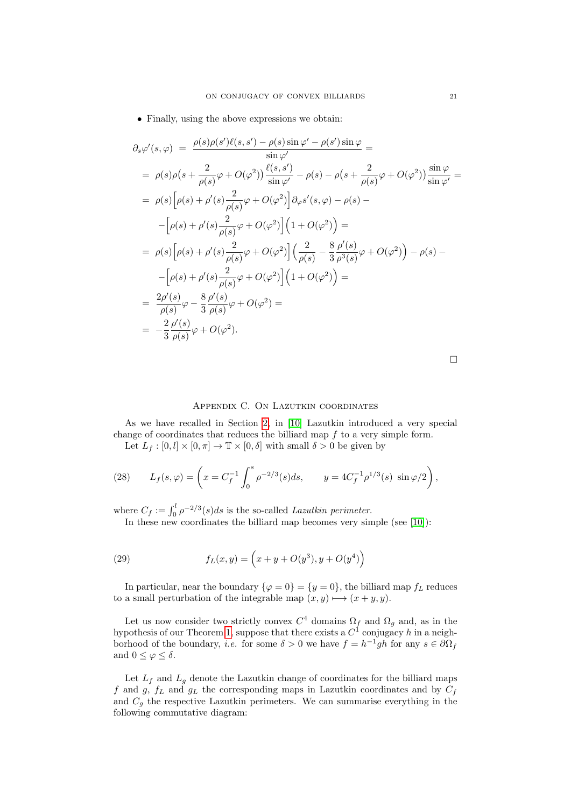• Finally, using the above expressions we obtain:

$$
\partial_{s} \varphi'(s, \varphi) = \frac{\rho(s)\rho(s')\ell(s, s') - \rho(s)\sin\varphi'}{\sin\varphi'} =
$$
  
\n
$$
= \rho(s)\rho(s + \frac{2}{\rho(s)}\varphi + O(\varphi^{2}))\frac{\ell(s, s')}{\sin\varphi'} - \rho(s) - \rho(s + \frac{2}{\rho(s)}\varphi + O(\varphi^{2}))\frac{\sin\varphi}{\sin\varphi'} =
$$
  
\n
$$
= \rho(s)\Big[\rho(s) + \rho'(s)\frac{2}{\rho(s)}\varphi + O(\varphi^{2})\Big]\partial_{\varphi}s'(s, \varphi) - \rho(s) -
$$
  
\n
$$
-[\rho(s) + \rho'(s)\frac{2}{\rho(s)}\varphi + O(\varphi^{2})]\Big(1 + O(\varphi^{2})\Big) =
$$
  
\n
$$
= \rho(s)\Big[\rho(s) + \rho'(s)\frac{2}{\rho(s)}\varphi + O(\varphi^{2})\Big]\Big(\frac{2}{\rho(s)} - \frac{8}{3}\frac{\rho'(s)}{\rho^{3}(s)}\varphi + O(\varphi^{2})\Big) - \rho(s) -
$$
  
\n
$$
-[\rho(s) + \rho'(s)\frac{2}{\rho(s)}\varphi + O(\varphi^{2})]\Big(1 + O(\varphi^{2})\Big) =
$$
  
\n
$$
= \frac{2\rho'(s)}{\rho(s)}\varphi - \frac{8}{3}\frac{\rho'(s)}{\rho(s)}\varphi + O(\varphi^{2}) =
$$
  
\n
$$
= -\frac{2}{3}\frac{\rho'(s)}{\rho(s)}\varphi + O(\varphi^{2}).
$$

 $\Box$ 

# Appendix C. On Lazutkin coordinates

<span id="page-20-0"></span>As we have recalled in Section [2,](#page-5-0) in [\[10\]](#page-22-4) Lazutkin introduced a very special change of coordinates that reduces the billiard map  $f$  to a very simple form. Let  $L_f : [0, l] \times [0, \pi] \to \mathbb{T} \times [0, \delta]$  with small  $\delta > 0$  be given by

<span id="page-20-2"></span>

(28) 
$$
L_f(s,\varphi) = \left(x = C_f^{-1} \int_0^s \rho^{-2/3}(s)ds, \qquad y = 4C_f^{-1} \rho^{1/3}(s) \sin \varphi/2\right),
$$

where  $C_f := \int_0^l \rho^{-2/3}(s)ds$  is the so-called *Lazutkin perimeter*.

<span id="page-20-1"></span>In these new coordinates the billiard map becomes very simple (see [\[10\]](#page-22-4)):

(29) 
$$
f_L(x,y) = \left(x + y + O(y^3), y + O(y^4)\right)
$$

In particular, near the boundary  $\{\varphi = 0\} = \{y = 0\}$ , the billiard map  $f_L$  reduces to a small perturbation of the integrable map  $(x, y) \rightarrow (x + y, y)$ .

Let us now consider two strictly convex  $C^4$  domains  $\Omega_f$  and  $\Omega_g$  and, as in the hypothesis of our Theorem [1,](#page-8-0) suppose that there exists a  $C^1$  conjugacy h in a neighborhood of the boundary, *i.e.* for some  $\delta > 0$  we have  $f = h^{-1}gh$  for any  $s \in \partial \Omega_f$ and  $0 \leq \varphi \leq \delta$ .

Let  $L_f$  and  $L_g$  denote the Lazutkin change of coordinates for the billiard maps f and g,  $f_L$  and  $g_L$  the corresponding maps in Lazutkin coordinates and by  $C_f$ and  $C_q$  the respective Lazutkin perimeters. We can summarise everything in the following commutative diagram: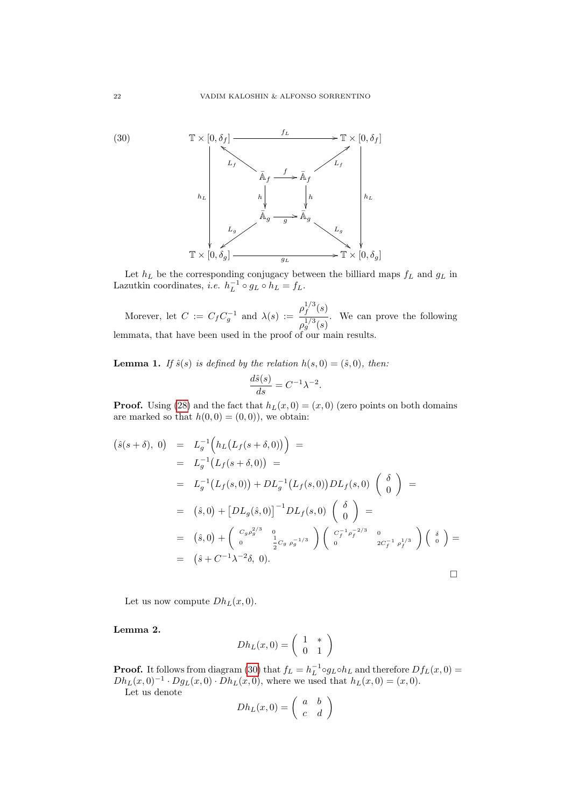<span id="page-21-0"></span>

Let  $h_L$  be the corresponding conjugacy between the billiard maps  $f_L$  and  $g_L$  in Lazutkin coordinates, *i.e.*  $h_L^{-1} \circ g_L \circ h_L = f_L$ .

Morever, let  $C := C_f C_g^{-1}$  and  $\lambda(s) :=$  $\rho_f^{1/3}$  $\int_f^{1/3}(s)$  $\rho_g^{1/3}(s)$ . We can prove the following lemmata, that have been used in the proof of our main results.

**Lemma 1.** If  $\hat{s}(s)$  is defined by the relation  $h(s, 0) = (\hat{s}, 0)$ , then:

$$
\frac{d\hat{s}(s)}{ds} = C^{-1}\lambda^{-2}.
$$

**Proof.** Using [\(28\)](#page-20-2) and the fact that  $h_L(x, 0) = (x, 0)$  (zero points on both domains are marked so that  $h(0, 0) = (0, 0)$ , we obtain:

$$
(\hat{s}(s+\delta), 0) = L_g^{-1} (h_L(L_f(s+\delta,0))) =
$$
  
\n
$$
= L_g^{-1} (L_f(s+\delta,0)) =
$$
  
\n
$$
= L_g^{-1} (L_f(s,0)) + DL_g^{-1} (L_f(s,0)) DL_f(s,0) \begin{pmatrix} \delta \\ 0 \end{pmatrix} =
$$
  
\n
$$
= (\hat{s}, 0) + [DL_g(\hat{s}, 0)]^{-1} DL_f(s,0) \begin{pmatrix} \delta \\ 0 \end{pmatrix} =
$$
  
\n
$$
= (\hat{s}, 0) + \begin{pmatrix} C_g \rho_g^{2/3} & 0 \\ 0 & \frac{1}{2} C_g \rho_g^{-1/3} \end{pmatrix} \begin{pmatrix} C_f^{-1} \rho_f^{-2/3} & 0 \\ 0 & 2C_f^{-1} \rho_f^{1/3} \end{pmatrix} \begin{pmatrix} \delta \\ 0 \end{pmatrix} =
$$
  
\n
$$
= (\hat{s} + C^{-1} \lambda^{-2} \delta, 0).
$$

Let us now compute  $Dh_L(x, 0)$ .

Lemma 2.

$$
Dh_L(x,0) = \left(\begin{array}{cc} 1 & * \\ 0 & 1 \end{array}\right)
$$

**Proof.** It follows from diagram [\(30\)](#page-21-0) that  $f_L = h_L^{-1} \circ g_L \circ h_L$  and therefore  $Df_L(x, 0) =$  $Dh_L(x,0)^{-1} \cdot Dg_L(x,0) \cdot Dh_L(x,0)$ , where we used that  $h_L(x,0) = (x,0)$ .

Let us denote

$$
Dh_L(x,0) = \left(\begin{array}{cc} a & b \\ c & d \end{array}\right)
$$